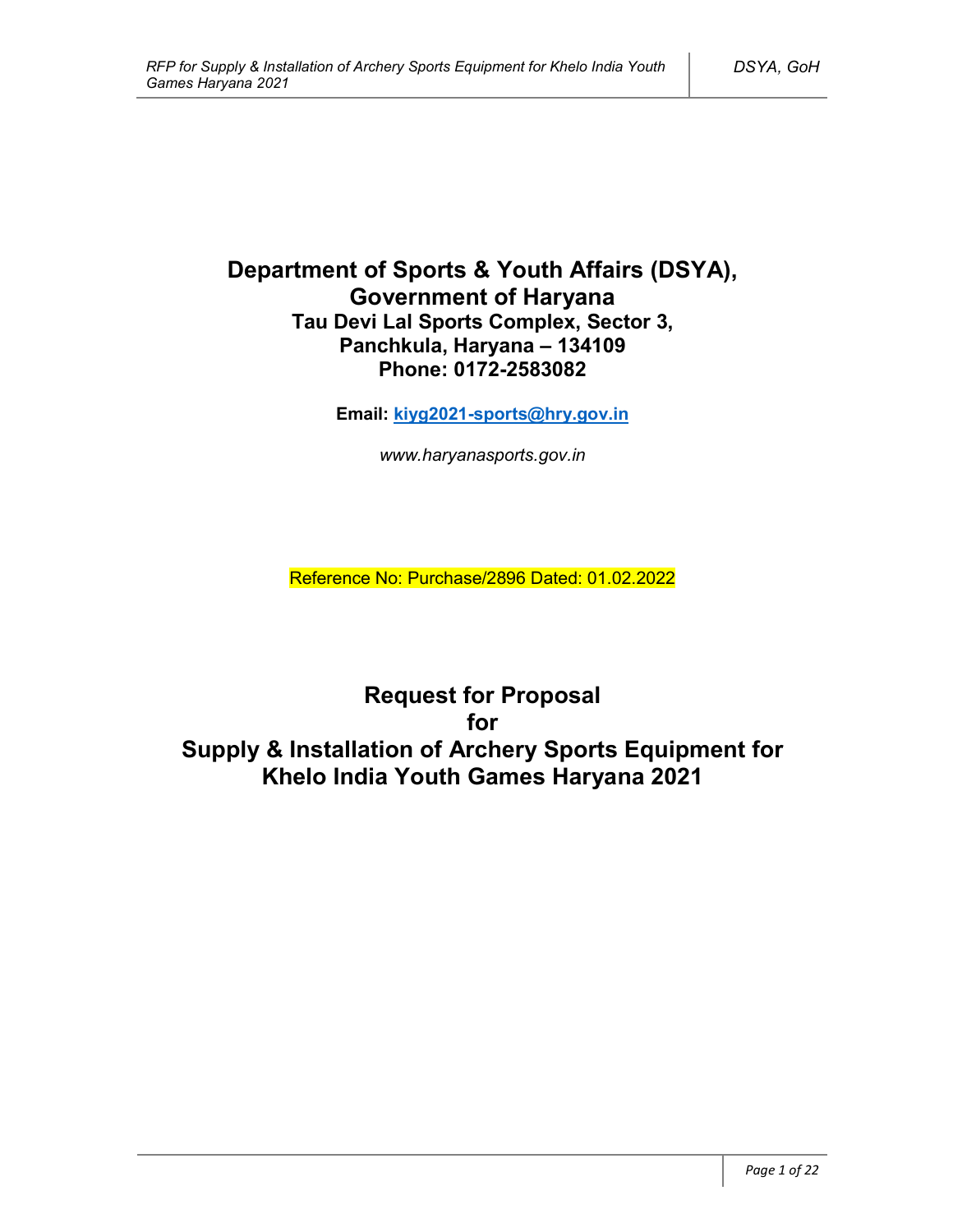# **Department of Sports & Youth Affairs (DSYA), Government of Haryana Tau Devi Lal Sports Complex, Sector 3, Panchkula, Haryana – 134109 Phone: 0172-2583082**

**Email: kiyg2021-sports@hry.gov.in**

*www.haryanasports.gov.in*

Reference No: Purchase/2896 Dated: 01.02.2022

**Request for Proposal for Supply & Installation of Archery Sports Equipment for Khelo India Youth Games Haryana 2021**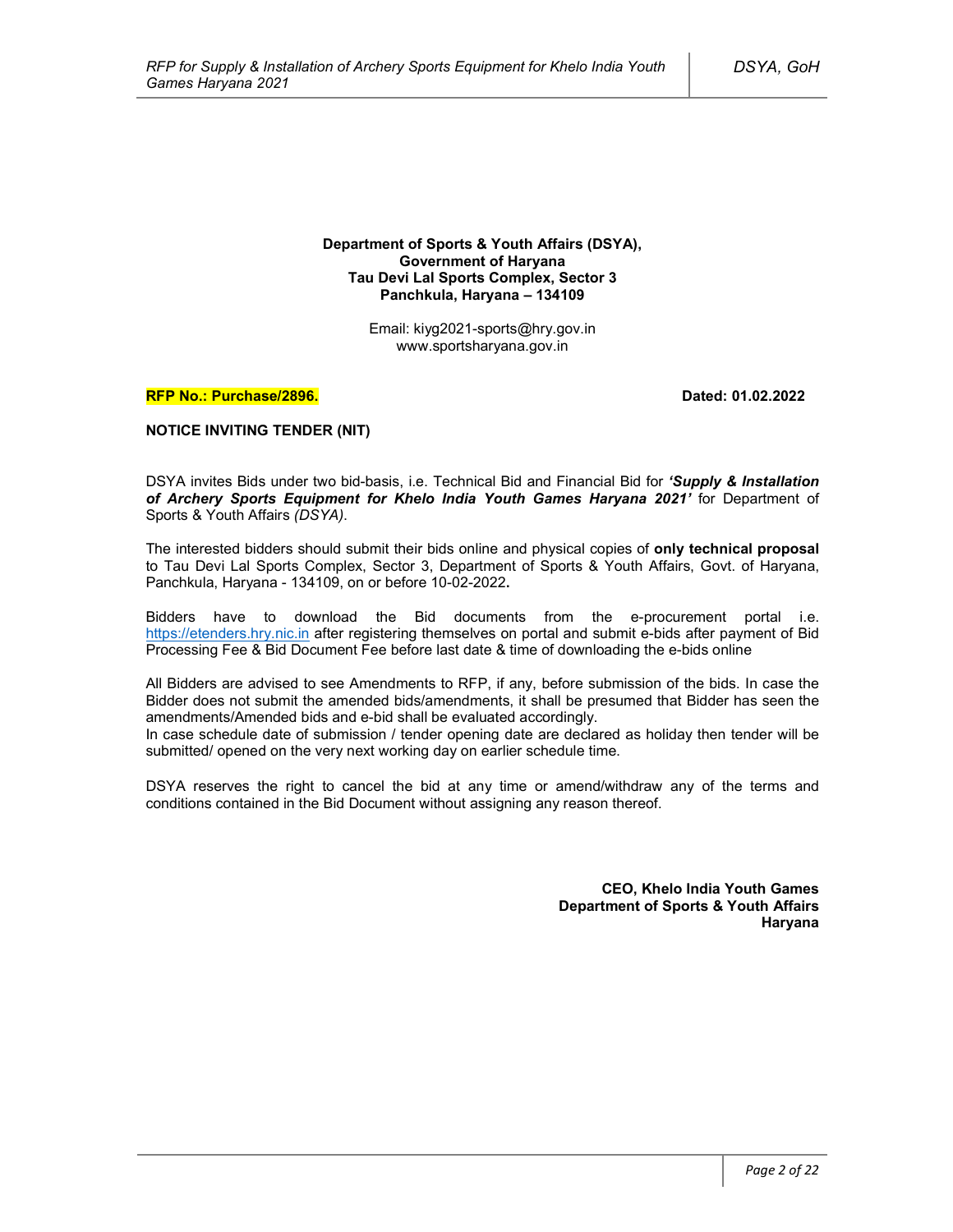**Department of Sports & Youth Affairs (DSYA), Government of Haryana Tau Devi Lal Sports Complex, Sector 3 Panchkula, Haryana – 134109**

> Email: kiyg2021-sports@hry.gov.in www.sportsharyana.gov.in

#### **RFP No.: Purchase/2896. Dated: 01.02.2022**

#### **NOTICE INVITING TENDER (NIT)**

DSYA invites Bids under two bid-basis, i.e. Technical Bid and Financial Bid for *'Supply & Installation of Archery Sports Equipment for Khelo India Youth Games Haryana 2021'* for Department of Sports & Youth Affairs *(DSYA)*.

The interested bidders should submit their bids online and physical copies of **only technical proposal** to Tau Devi Lal Sports Complex, Sector 3, Department of Sports & Youth Affairs, Govt. of Haryana, Panchkula, Haryana - 134109, on or before 10-02-2022**.**

Bidders have to download the Bid documents from the e-procurement portal i.e. https://etenders.hry.nic.in after registering themselves on portal and submit e-bids after payment of Bid Processing Fee & Bid Document Fee before last date & time of downloading the e-bids online

All Bidders are advised to see Amendments to RFP, if any, before submission of the bids. In case the Bidder does not submit the amended bids/amendments, it shall be presumed that Bidder has seen the amendments/Amended bids and e-bid shall be evaluated accordingly.

In case schedule date of submission / tender opening date are declared as holiday then tender will be submitted/ opened on the very next working day on earlier schedule time.

DSYA reserves the right to cancel the bid at any time or amend/withdraw any of the terms and conditions contained in the Bid Document without assigning any reason thereof.

> **CEO, Khelo India Youth Games Department of Sports & Youth Affairs Haryana**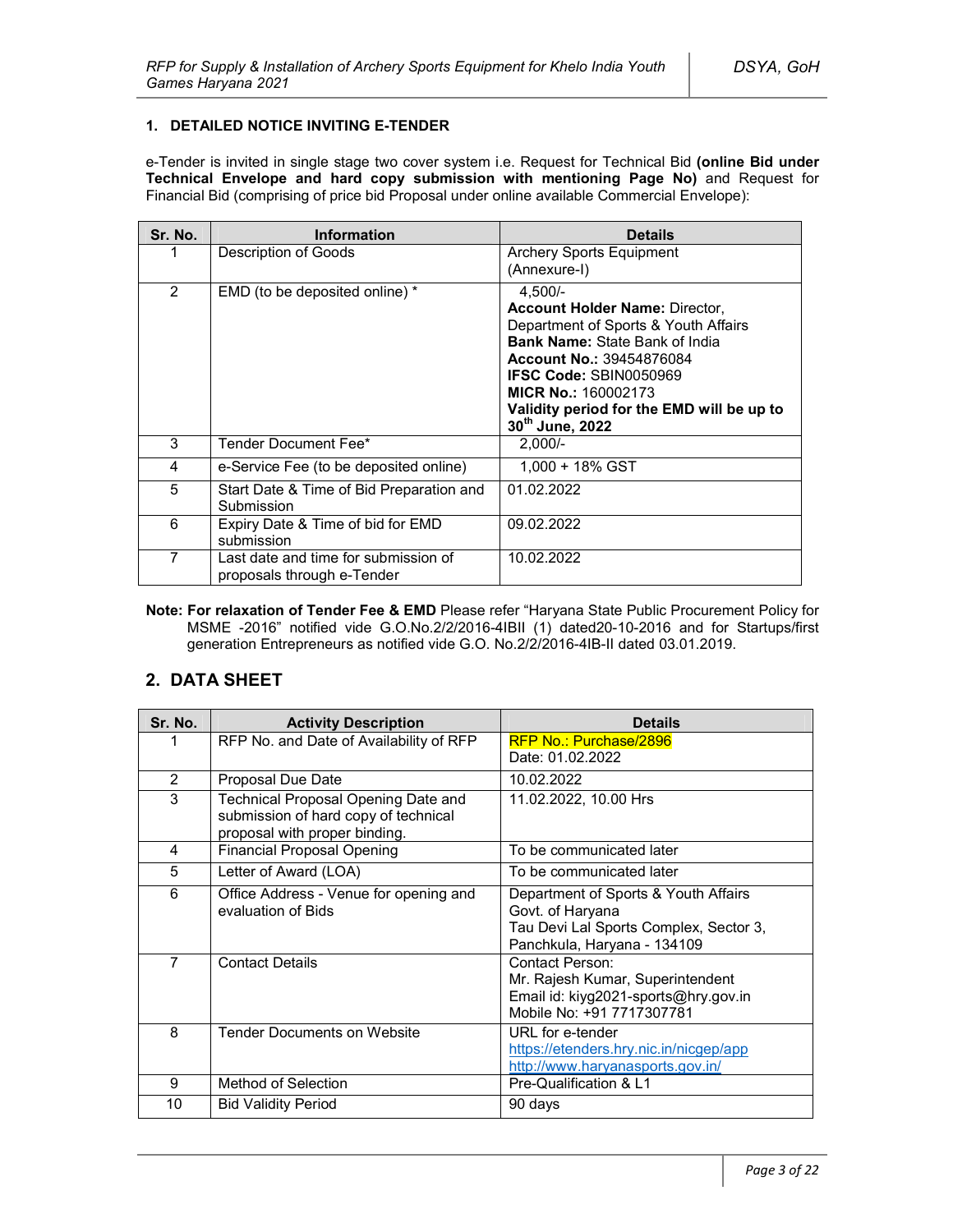### **1. DETAILED NOTICE INVITING E-TENDER**

e-Tender is invited in single stage two cover system i.e. Request for Technical Bid **(online Bid under Technical Envelope and hard copy submission with mentioning Page No)** and Request for Financial Bid (comprising of price bid Proposal under online available Commercial Envelope):

| Sr. No. | <b>Information</b>                                                 | <b>Details</b>                                                                                                                                                                                                                                                                                        |
|---------|--------------------------------------------------------------------|-------------------------------------------------------------------------------------------------------------------------------------------------------------------------------------------------------------------------------------------------------------------------------------------------------|
|         | Description of Goods                                               | Archery Sports Equipment<br>(Annexure-I)                                                                                                                                                                                                                                                              |
| 2       | EMD (to be deposited online) *                                     | $4,500/-$<br><b>Account Holder Name: Director,</b><br>Department of Sports & Youth Affairs<br><b>Bank Name: State Bank of India</b><br><b>Account No.: 39454876084</b><br><b>IFSC Code: SBIN0050969</b><br><b>MICR No.: 160002173</b><br>Validity period for the EMD will be up to<br>30th June, 2022 |
| 3       | Tender Document Fee*                                               | $2.000/-$                                                                                                                                                                                                                                                                                             |
| 4       | e-Service Fee (to be deposited online)                             | 1.000 + 18% GST                                                                                                                                                                                                                                                                                       |
| 5       | Start Date & Time of Bid Preparation and<br>Submission             | 01.02.2022                                                                                                                                                                                                                                                                                            |
| 6       | Expiry Date & Time of bid for EMD<br>submission                    | 09.02.2022                                                                                                                                                                                                                                                                                            |
| 7       | Last date and time for submission of<br>proposals through e-Tender | 10.02.2022                                                                                                                                                                                                                                                                                            |

**Note: For relaxation of Tender Fee & EMD** Please refer "Haryana State Public Procurement Policy for MSME -2016" notified vide G.O.No.2/2/2016-4IBII (1) dated20-10-2016 and for Startups/first generation Entrepreneurs as notified vide G.O. No.2/2/2016-4IB-II dated 03.01.2019.

## **2. DATA SHEET**

| Sr. No.        | <b>Activity Description</b>                                                                                  | <b>Details</b>                                                                                                                    |  |
|----------------|--------------------------------------------------------------------------------------------------------------|-----------------------------------------------------------------------------------------------------------------------------------|--|
|                | RFP No. and Date of Availability of RFP                                                                      | RFP No.: Purchase/2896                                                                                                            |  |
|                |                                                                                                              | Date: 01.02.2022                                                                                                                  |  |
| 2              | Proposal Due Date                                                                                            | 10.02.2022                                                                                                                        |  |
| 3              | Technical Proposal Opening Date and<br>submission of hard copy of technical<br>proposal with proper binding. | 11.02.2022, 10.00 Hrs                                                                                                             |  |
| 4              | <b>Financial Proposal Opening</b>                                                                            | To be communicated later                                                                                                          |  |
| 5              | Letter of Award (LOA)                                                                                        | To be communicated later                                                                                                          |  |
| 6              | Office Address - Venue for opening and<br>evaluation of Bids                                                 | Department of Sports & Youth Affairs<br>Govt. of Haryana<br>Tau Devi Lal Sports Complex, Sector 3,<br>Panchkula, Haryana - 134109 |  |
| $\overline{7}$ | <b>Contact Details</b>                                                                                       | Contact Person:<br>Mr. Rajesh Kumar, Superintendent<br>Email id: kiyg2021-sports@hry.gov.in<br>Mobile No: +91 7717307781          |  |
| 8              | <b>Tender Documents on Website</b>                                                                           | URL for e-tender<br>https://etenders.hry.nic.in/nicgep/app<br>http://www.haryanasports.gov.in/                                    |  |
| 9              | Method of Selection                                                                                          | Pre-Qualification & L1                                                                                                            |  |
| 10             | <b>Bid Validity Period</b>                                                                                   | 90 days                                                                                                                           |  |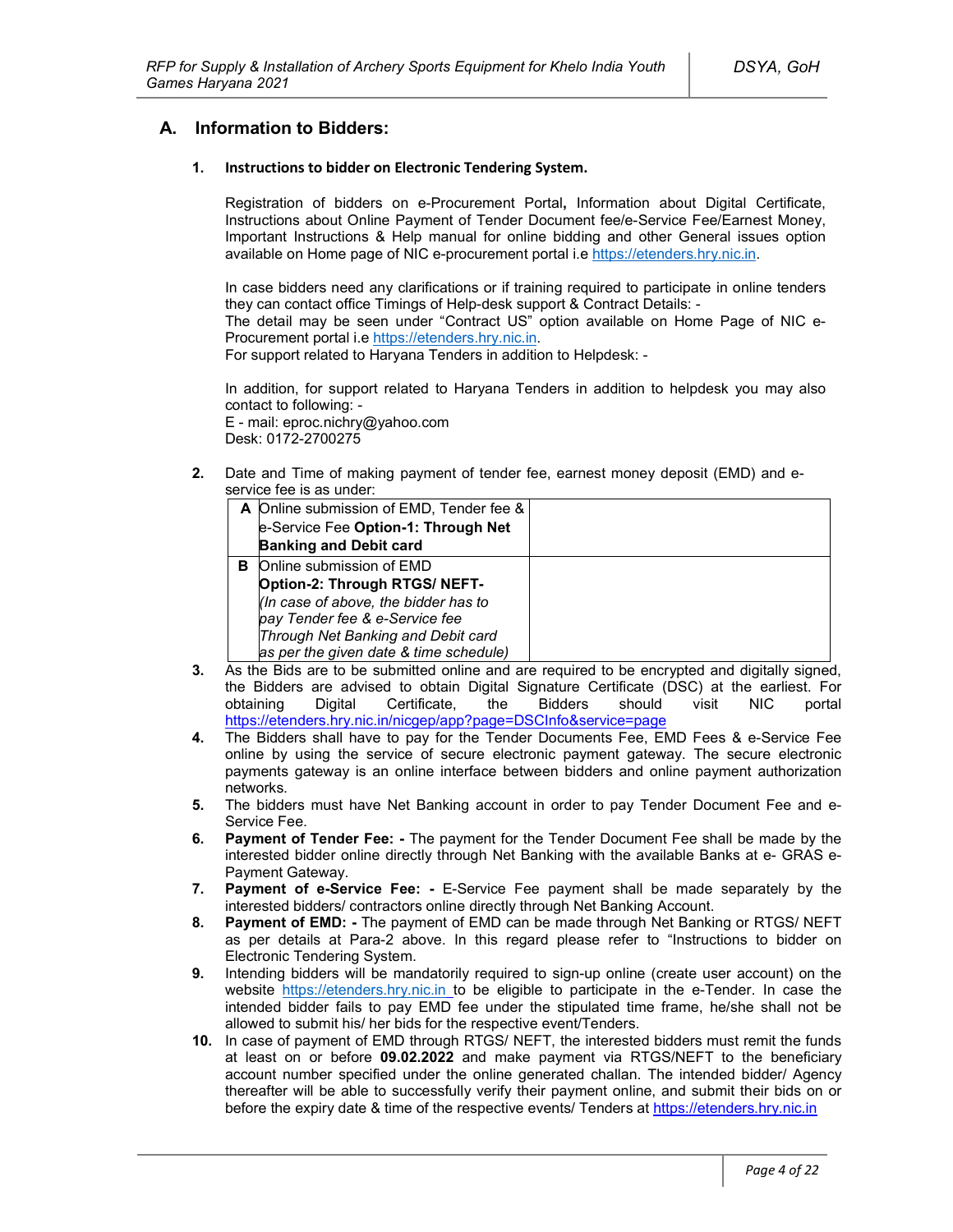## **A. Information to Bidders:**

#### **1. Instructions to bidder on Electronic Tendering System.**

Registration of bidders on e-Procurement Portal**,** Information about Digital Certificate, Instructions about Online Payment of Tender Document fee/e-Service Fee/Earnest Money, Important Instructions & Help manual for online bidding and other General issues option available on Home page of NIC e-procurement portal i.e https://etenders.hry.nic.in.

In case bidders need any clarifications or if training required to participate in online tenders they can contact office Timings of Help-desk support & Contract Details: -

The detail may be seen under "Contract US" option available on Home Page of NIC e-Procurement portal i.e https://etenders.hry.nic.in.

For support related to Haryana Tenders in addition to Helpdesk: -

In addition, for support related to Haryana Tenders in addition to helpdesk you may also contact to following: -

E - mail: eproc.nichry@yahoo.com Desk: 0172-2700275

**2.** Date and Time of making payment of tender fee, earnest money deposit (EMD) and eservice fee is as under:

|   | A Online submission of EMD, Tender fee & |  |
|---|------------------------------------------|--|
|   | e-Service Fee Option-1: Through Net      |  |
|   | <b>Banking and Debit card</b>            |  |
| в | Online submission of EMD                 |  |
|   | Option-2: Through RTGS/ NEFT-            |  |
|   | (In case of above, the bidder has to     |  |
|   | pay Tender fee & e-Service fee           |  |
|   | Through Net Banking and Debit card       |  |
|   | as per the given date & time schedule)   |  |

- **3.** As the Bids are to be submitted online and are required to be encrypted and digitally signed, the Bidders are advised to obtain Digital Signature Certificate (DSC) at the earliest. For obtaining Digital Certificate, the Bidders should visit NIC portal https://etenders.hry.nic.in/nicgep/app?page=DSCInfo&service=page
- **4.** The Bidders shall have to pay for the Tender Documents Fee, EMD Fees & e-Service Fee online by using the service of secure electronic payment gateway. The secure electronic payments gateway is an online interface between bidders and online payment authorization networks.
- **5.** The bidders must have Net Banking account in order to pay Tender Document Fee and e-Service Fee.
- **6. Payment of Tender Fee: -** The payment for the Tender Document Fee shall be made by the interested bidder online directly through Net Banking with the available Banks at e- GRAS e-Payment Gateway.
- **7. Payment of e-Service Fee: -** E-Service Fee payment shall be made separately by the interested bidders/ contractors online directly through Net Banking Account.
- **8. Payment of EMD: -** The payment of EMD can be made through Net Banking or RTGS/ NEFT as per details at Para-2 above. In this regard please refer to "Instructions to bidder on Electronic Tendering System.
- **9.** Intending bidders will be mandatorily required to sign-up online (create user account) on the website https://etenders.hry.nic.in to be eligible to participate in the e-Tender. In case the intended bidder fails to pay EMD fee under the stipulated time frame, he/she shall not be allowed to submit his/ her bids for the respective event/Tenders.
- **10.** In case of payment of EMD through RTGS/ NEFT, the interested bidders must remit the funds at least on or before **09.02.2022** and make payment via RTGS/NEFT to the beneficiary account number specified under the online generated challan. The intended bidder/ Agency thereafter will be able to successfully verify their payment online, and submit their bids on or before the expiry date & time of the respective events/ Tenders at https://etenders.hry.nic.in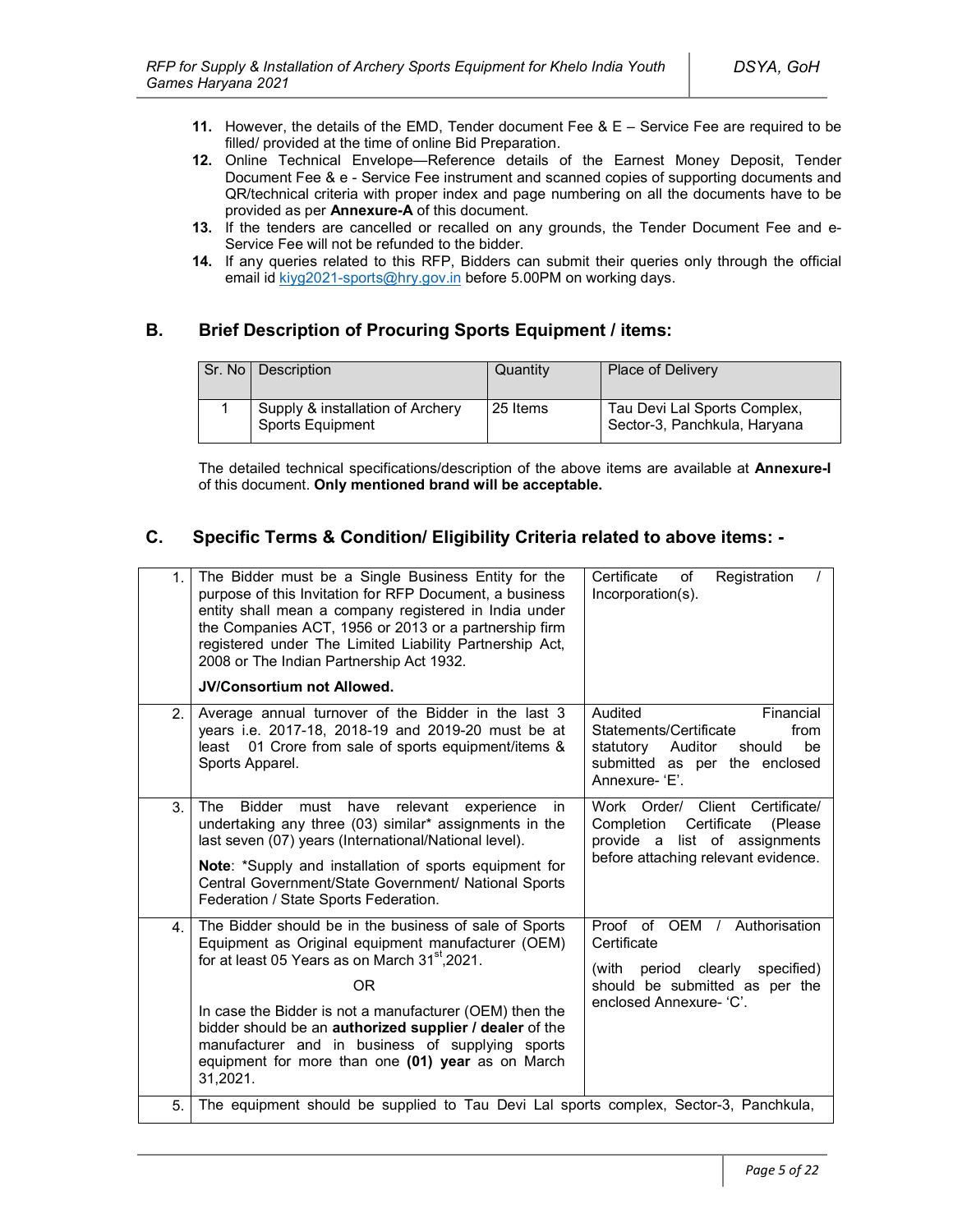- **11.** However, the details of the EMD, Tender document Fee & E Service Fee are required to be filled/ provided at the time of online Bid Preparation.
- **12.** Online Technical Envelope—Reference details of the Earnest Money Deposit, Tender Document Fee & e - Service Fee instrument and scanned copies of supporting documents and QR/technical criteria with proper index and page numbering on all the documents have to be provided as per **Annexure-A** of this document.
- **13.** If the tenders are cancelled or recalled on any grounds, the Tender Document Fee and e-Service Fee will not be refunded to the bidder.
- **14.** If any queries related to this RFP, Bidders can submit their queries only through the official email id kiyg2021-sports@hry.gov.in before 5.00PM on working days.

## **B. Brief Description of Procuring Sports Equipment / items:**

| Sr. No   Description                                 | Quantity | <b>Place of Delivery</b>                                     |
|------------------------------------------------------|----------|--------------------------------------------------------------|
| Supply & installation of Archery<br>Sports Equipment | 25 Items | Tau Devi Lal Sports Complex,<br>Sector-3, Panchkula, Haryana |

The detailed technical specifications/description of the above items are available at **Annexure-I** of this document. **Only mentioned brand will be acceptable.**

## **C. Specific Terms & Condition/ Eligibility Criteria related to above items: -**

| 1. | The Bidder must be a Single Business Entity for the<br>purpose of this Invitation for RFP Document, a business<br>entity shall mean a company registered in India under<br>the Companies ACT, 1956 or 2013 or a partnership firm<br>registered under The Limited Liability Partnership Act,<br>2008 or The Indian Partnership Act 1932.<br><b>JV/Consortium not Allowed.</b>                                                            | Certificate<br>Registration<br>of<br>Incorporation(s).                                                                                            |
|----|-----------------------------------------------------------------------------------------------------------------------------------------------------------------------------------------------------------------------------------------------------------------------------------------------------------------------------------------------------------------------------------------------------------------------------------------|---------------------------------------------------------------------------------------------------------------------------------------------------|
| 2. | Average annual turnover of the Bidder in the last 3<br>years i.e. 2017-18, 2018-19 and 2019-20 must be at<br>01 Crore from sale of sports equipment/items &<br>least<br>Sports Apparel.                                                                                                                                                                                                                                                 | Audited<br>Financial<br>Statements/Certificate<br>from<br>statutory<br>Auditor<br>be<br>should<br>submitted as per the enclosed<br>Annexure-'E'.  |
| 3. | The<br><b>Bidder</b><br>must<br>have<br>relevant<br>experience<br>in.<br>undertaking any three (03) similar* assignments in the<br>last seven (07) years (International/National level).<br>Note: *Supply and installation of sports equipment for<br>Central Government/State Government/ National Sports<br>Federation / State Sports Federation.                                                                                     | Work Order/ Client Certificate/<br>Certificate<br>Completion<br>(Please)<br>provide a list of assignments<br>before attaching relevant evidence.  |
| 4. | The Bidder should be in the business of sale of Sports<br>Equipment as Original equipment manufacturer (OEM)<br>for at least 05 Years as on March 31 <sup>st</sup> , 2021.<br>0 <sub>R</sub><br>In case the Bidder is not a manufacturer (OEM) then the<br>bidder should be an authorized supplier / dealer of the<br>manufacturer and in business of supplying sports<br>equipment for more than one (01) year as on March<br>31,2021. | Proof of OEM /<br>Authorisation<br>Certificate<br>(with period clearly<br>specified)<br>should be submitted as per the<br>enclosed Annexure- 'C'. |
| 5. | The equipment should be supplied to Tau Devi Lal sports complex, Sector-3, Panchkula,                                                                                                                                                                                                                                                                                                                                                   |                                                                                                                                                   |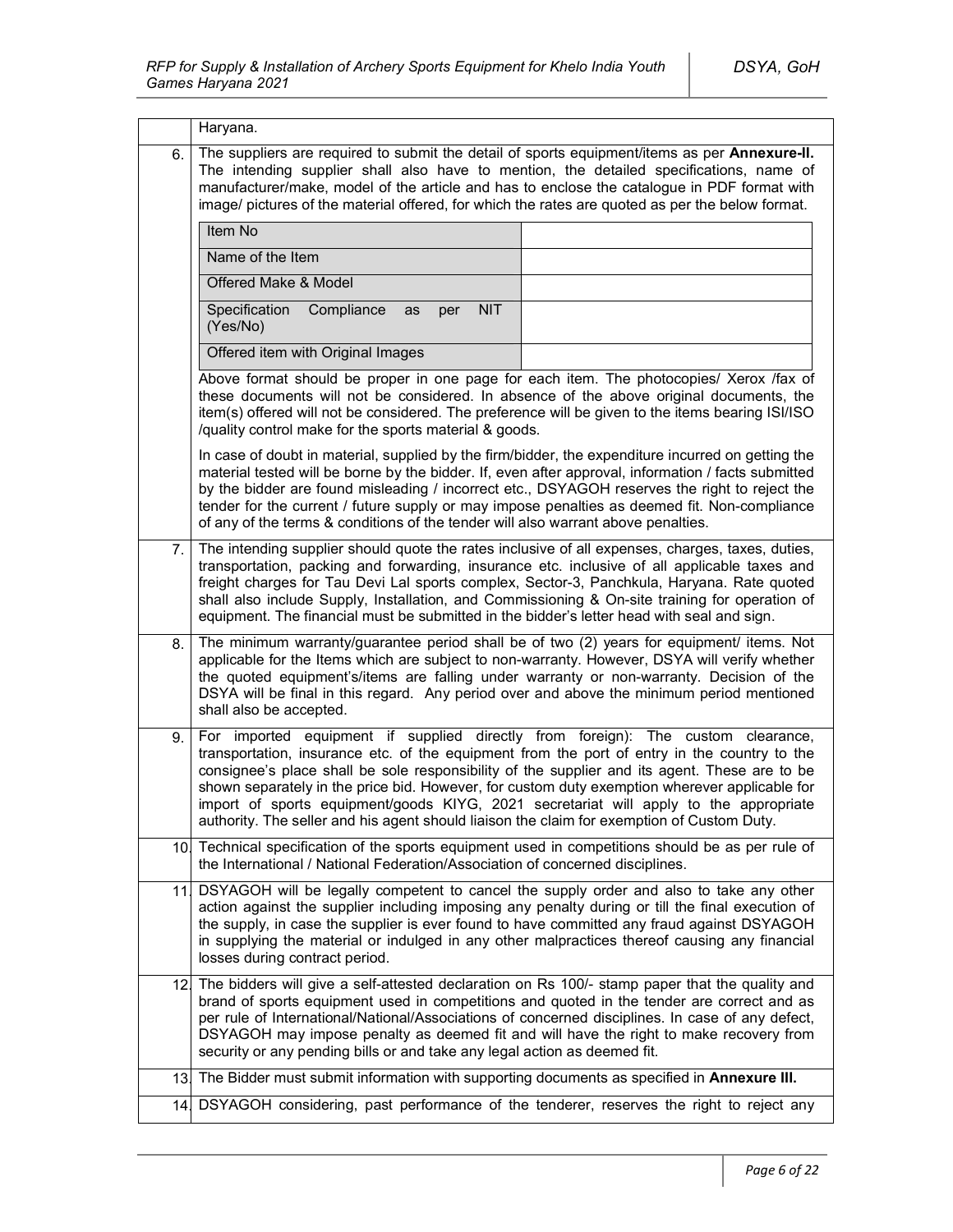|     | Haryana.                                                                                                                                                                                                                                                                                                                                                                                                                                                                                                                                                                  |  |
|-----|---------------------------------------------------------------------------------------------------------------------------------------------------------------------------------------------------------------------------------------------------------------------------------------------------------------------------------------------------------------------------------------------------------------------------------------------------------------------------------------------------------------------------------------------------------------------------|--|
| 6.  | The suppliers are required to submit the detail of sports equipment/items as per Annexure-II.<br>The intending supplier shall also have to mention, the detailed specifications, name of<br>manufacturer/make, model of the article and has to enclose the catalogue in PDF format with<br>image/ pictures of the material offered, for which the rates are quoted as per the below format.                                                                                                                                                                               |  |
|     | Item No                                                                                                                                                                                                                                                                                                                                                                                                                                                                                                                                                                   |  |
|     | Name of the Item                                                                                                                                                                                                                                                                                                                                                                                                                                                                                                                                                          |  |
|     | Offered Make & Model                                                                                                                                                                                                                                                                                                                                                                                                                                                                                                                                                      |  |
|     | Specification<br>Compliance<br><b>NIT</b><br>as<br>per<br>(Yes/No)                                                                                                                                                                                                                                                                                                                                                                                                                                                                                                        |  |
|     | Offered item with Original Images                                                                                                                                                                                                                                                                                                                                                                                                                                                                                                                                         |  |
|     | Above format should be proper in one page for each item. The photocopies/ Xerox /fax of<br>these documents will not be considered. In absence of the above original documents, the<br>item(s) offered will not be considered. The preference will be given to the items bearing ISI/ISO<br>/quality control make for the sports material & goods.                                                                                                                                                                                                                         |  |
|     | In case of doubt in material, supplied by the firm/bidder, the expenditure incurred on getting the<br>material tested will be borne by the bidder. If, even after approval, information / facts submitted<br>by the bidder are found misleading / incorrect etc., DSYAGOH reserves the right to reject the<br>tender for the current / future supply or may impose penalties as deemed fit. Non-compliance<br>of any of the terms & conditions of the tender will also warrant above penalties.                                                                           |  |
| 7.  | The intending supplier should quote the rates inclusive of all expenses, charges, taxes, duties,<br>transportation, packing and forwarding, insurance etc. inclusive of all applicable taxes and<br>freight charges for Tau Devi Lal sports complex, Sector-3, Panchkula, Haryana. Rate quoted<br>shall also include Supply, Installation, and Commissioning & On-site training for operation of<br>equipment. The financial must be submitted in the bidder's letter head with seal and sign.                                                                            |  |
| 8.  | The minimum warranty/guarantee period shall be of two (2) years for equipment/ items. Not<br>applicable for the Items which are subject to non-warranty. However, DSYA will verify whether<br>the quoted equipment's/items are falling under warranty or non-warranty. Decision of the<br>DSYA will be final in this regard. Any period over and above the minimum period mentioned<br>shall also be accepted.                                                                                                                                                            |  |
| 9.  | For imported equipment if supplied directly from foreign): The custom clearance,<br>transportation, insurance etc. of the equipment from the port of entry in the country to the<br>consignee's place shall be sole responsibility of the supplier and its agent. These are to be<br>shown separately in the price bid. However, for custom duty exemption wherever applicable for<br>import of sports equipment/goods KIYG, 2021 secretariat will apply to the appropriate<br>authority. The seller and his agent should liaison the claim for exemption of Custom Duty. |  |
| 10. | Technical specification of the sports equipment used in competitions should be as per rule of<br>the International / National Federation/Association of concerned disciplines.                                                                                                                                                                                                                                                                                                                                                                                            |  |
| 111 | DSYAGOH will be legally competent to cancel the supply order and also to take any other<br>action against the supplier including imposing any penalty during or till the final execution of<br>the supply, in case the supplier is ever found to have committed any fraud against DSYAGOH<br>in supplying the material or indulged in any other malpractices thereof causing any financial<br>losses during contract period.                                                                                                                                              |  |
|     | 12. The bidders will give a self-attested declaration on Rs 100/- stamp paper that the quality and<br>brand of sports equipment used in competitions and quoted in the tender are correct and as<br>per rule of International/National/Associations of concerned disciplines. In case of any defect,<br>DSYAGOH may impose penalty as deemed fit and will have the right to make recovery from<br>security or any pending bills or and take any legal action as deemed fit.                                                                                               |  |
| 13. | The Bidder must submit information with supporting documents as specified in Annexure III.                                                                                                                                                                                                                                                                                                                                                                                                                                                                                |  |
|     | 14. DSYAGOH considering, past performance of the tenderer, reserves the right to reject any                                                                                                                                                                                                                                                                                                                                                                                                                                                                               |  |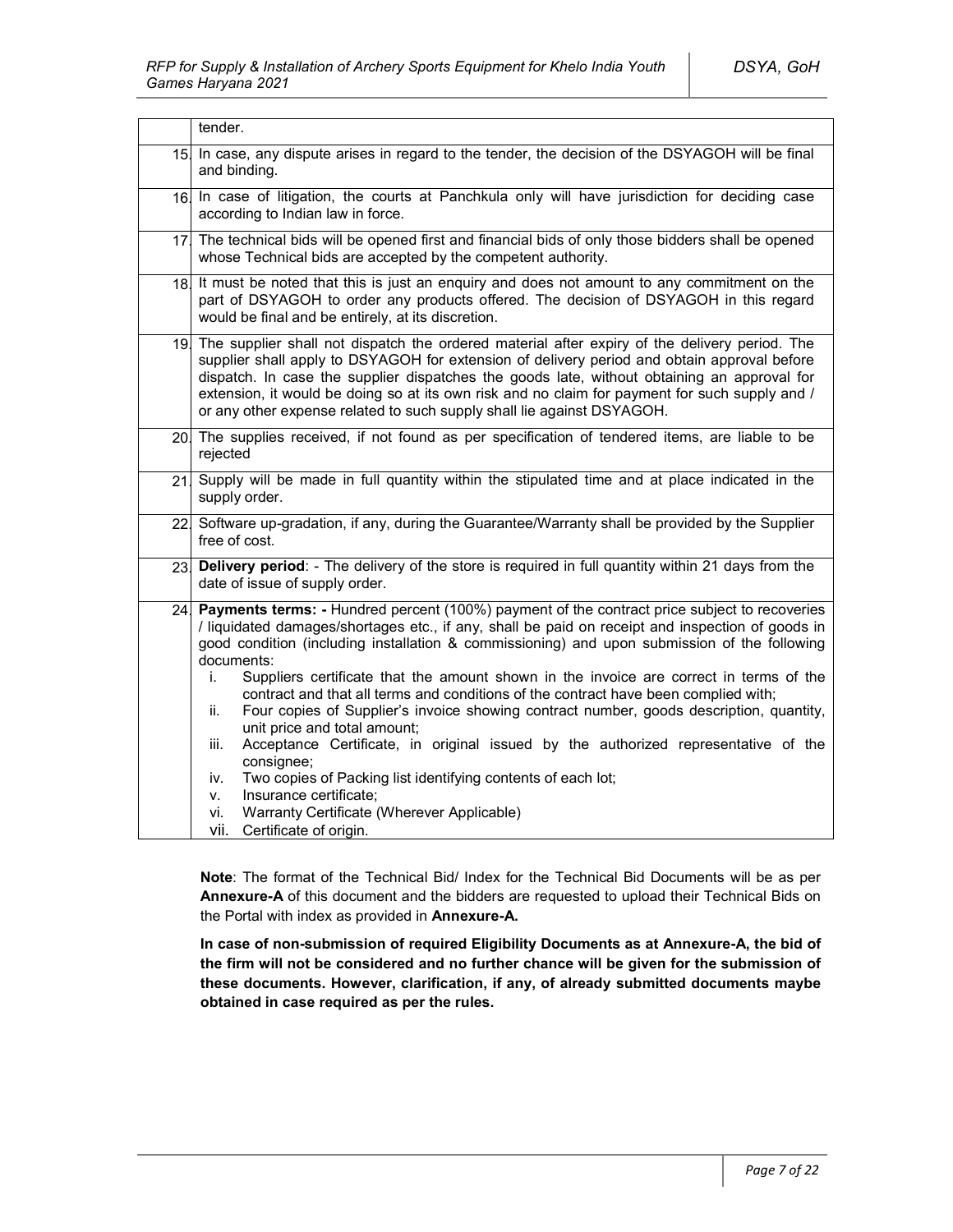|     | tender.                                                                                                                                                                                                                                                                                                                                                                                                                                                                                                                                                                                                                                                                                                                                                                                                                                                                                                                                           |  |
|-----|---------------------------------------------------------------------------------------------------------------------------------------------------------------------------------------------------------------------------------------------------------------------------------------------------------------------------------------------------------------------------------------------------------------------------------------------------------------------------------------------------------------------------------------------------------------------------------------------------------------------------------------------------------------------------------------------------------------------------------------------------------------------------------------------------------------------------------------------------------------------------------------------------------------------------------------------------|--|
| 15. | In case, any dispute arises in regard to the tender, the decision of the DSYAGOH will be final<br>and binding.                                                                                                                                                                                                                                                                                                                                                                                                                                                                                                                                                                                                                                                                                                                                                                                                                                    |  |
| 16. | In case of litigation, the courts at Panchkula only will have jurisdiction for deciding case<br>according to Indian law in force.                                                                                                                                                                                                                                                                                                                                                                                                                                                                                                                                                                                                                                                                                                                                                                                                                 |  |
|     | 17 The technical bids will be opened first and financial bids of only those bidders shall be opened<br>whose Technical bids are accepted by the competent authority.                                                                                                                                                                                                                                                                                                                                                                                                                                                                                                                                                                                                                                                                                                                                                                              |  |
| 18. | It must be noted that this is just an enquiry and does not amount to any commitment on the<br>part of DSYAGOH to order any products offered. The decision of DSYAGOH in this regard<br>would be final and be entirely, at its discretion.                                                                                                                                                                                                                                                                                                                                                                                                                                                                                                                                                                                                                                                                                                         |  |
|     | 19. The supplier shall not dispatch the ordered material after expiry of the delivery period. The<br>supplier shall apply to DSYAGOH for extension of delivery period and obtain approval before<br>dispatch. In case the supplier dispatches the goods late, without obtaining an approval for<br>extension, it would be doing so at its own risk and no claim for payment for such supply and /<br>or any other expense related to such supply shall lie against DSYAGOH.                                                                                                                                                                                                                                                                                                                                                                                                                                                                       |  |
|     | 20. The supplies received, if not found as per specification of tendered items, are liable to be<br>rejected                                                                                                                                                                                                                                                                                                                                                                                                                                                                                                                                                                                                                                                                                                                                                                                                                                      |  |
| 21  | Supply will be made in full quantity within the stipulated time and at place indicated in the<br>supply order.                                                                                                                                                                                                                                                                                                                                                                                                                                                                                                                                                                                                                                                                                                                                                                                                                                    |  |
|     | 22 Software up-gradation, if any, during the Guarantee/Warranty shall be provided by the Supplier<br>free of cost.                                                                                                                                                                                                                                                                                                                                                                                                                                                                                                                                                                                                                                                                                                                                                                                                                                |  |
| 23. | Delivery period: - The delivery of the store is required in full quantity within 21 days from the<br>date of issue of supply order.                                                                                                                                                                                                                                                                                                                                                                                                                                                                                                                                                                                                                                                                                                                                                                                                               |  |
| 24. | Payments terms: - Hundred percent (100%) payment of the contract price subject to recoveries<br>/ liquidated damages/shortages etc., if any, shall be paid on receipt and inspection of goods in<br>good condition (including installation & commissioning) and upon submission of the following<br>documents:<br>Suppliers certificate that the amount shown in the invoice are correct in terms of the<br>i.<br>contract and that all terms and conditions of the contract have been complied with;<br>Four copies of Supplier's invoice showing contract number, goods description, quantity,<br>ii.<br>unit price and total amount;<br>Acceptance Certificate, in original issued by the authorized representative of the<br>iii.<br>consignee;<br>Two copies of Packing list identifying contents of each lot;<br>iv.<br>Insurance certificate;<br>v.<br>Warranty Certificate (Wherever Applicable)<br>vi.<br>Certificate of origin.<br>vii. |  |

**Note**: The format of the Technical Bid/ Index for the Technical Bid Documents will be as per **Annexure-A** of this document and the bidders are requested to upload their Technical Bids on the Portal with index as provided in **Annexure-A.**

**In case of non-submission of required Eligibility Documents as at Annexure-A, the bid of the firm will not be considered and no further chance will be given for the submission of these documents. However, clarification, if any, of already submitted documents maybe obtained in case required as per the rules.**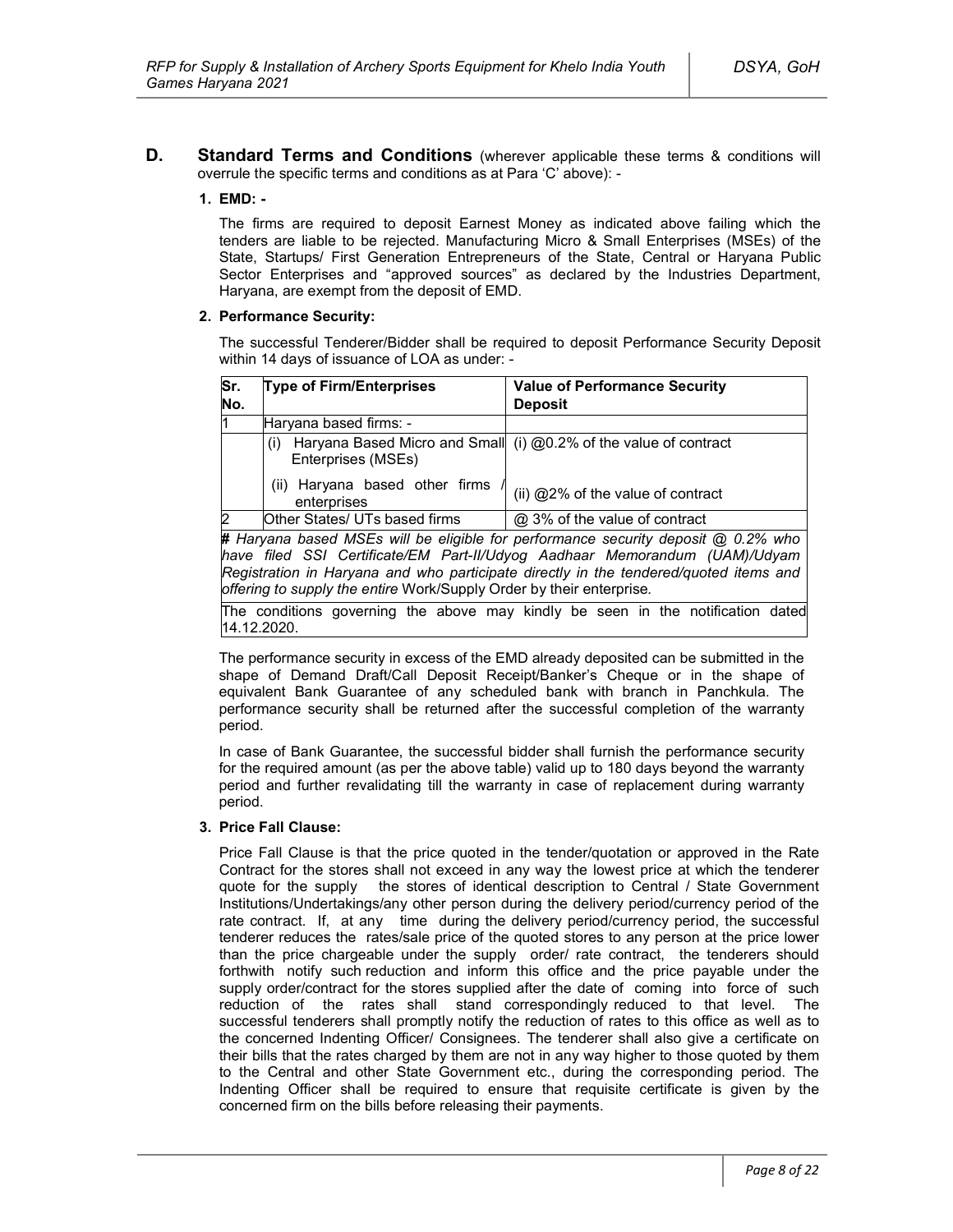**D. Standard Terms and Conditions** (wherever applicable these terms & conditions will overrule the specific terms and conditions as at Para 'C' above): -

### **1. EMD: -**

The firms are required to deposit Earnest Money as indicated above failing which the tenders are liable to be rejected. Manufacturing Micro & Small Enterprises (MSEs) of the State, Startups/ First Generation Entrepreneurs of the State, Central or Haryana Public Sector Enterprises and "approved sources" as declared by the Industries Department, Haryana, are exempt from the deposit of EMD.

### **2. Performance Security:**

The successful Tenderer/Bidder shall be required to deposit Performance Security Deposit within 14 days of issuance of LOA as under: -

| Sr.          | <b>Type of Firm/Enterprises</b>               | <b>Value of Performance Security</b>                                              |
|--------------|-----------------------------------------------|-----------------------------------------------------------------------------------|
| No.          |                                               | <b>Deposit</b>                                                                    |
| 11           | Haryana based firms: -                        |                                                                                   |
|              | (i)<br>Enterprises (MSEs)                     | Haryana Based Micro and Small (i) @0.2% of the value of contract                  |
|              | (ii) Haryana based other firms<br>enterprises | (ii) @2% of the value of contract                                                 |
| <sup>2</sup> | Other States/ UTs based firms                 | @ 3% of the value of contract                                                     |
|              |                                               | # Haryana based MSEs will be eligible for performance security deposit @ 0.2% who |
|              |                                               | have filed SSL Certificate/EM Part-II/I Idvog Aadhaar Memorandum (IIAM)/I Idvam l |

*have filed SSI Certificate/EM Part-II/Udyog Aadhaar Memorandum (UAM)/Udyam Registration in Haryana and who participate directly in the tendered/quoted items and offering to supply the entire* Work/Supply Order by their enterprise*.*

The conditions governing the above may kindly be seen in the notification dated 14.12.2020.

The performance security in excess of the EMD already deposited can be submitted in the shape of Demand Draft/Call Deposit Receipt/Banker's Cheque or in the shape of equivalent Bank Guarantee of any scheduled bank with branch in Panchkula. The performance security shall be returned after the successful completion of the warranty period.

In case of Bank Guarantee, the successful bidder shall furnish the performance security for the required amount (as per the above table) valid up to 180 days beyond the warranty period and further revalidating till the warranty in case of replacement during warranty period.

#### **3. Price Fall Clause:**

Price Fall Clause is that the price quoted in the tender/quotation or approved in the Rate Contract for the stores shall not exceed in any way the lowest price at which the tenderer quote for the supply the stores of identical description to Central / State Government Institutions/Undertakings/any other person during the delivery period/currency period of the rate contract. If, at any time during the delivery period/currency period, the successful tenderer reduces the rates/sale price of the quoted stores to any person at the price lower than the price chargeable under the supply order/ rate contract, the tenderers should forthwith notify such reduction and inform this office and the price payable under the supply order/contract for the stores supplied after the date of coming into force of such reduction of the rates shall stand correspondingly reduced to that level. The successful tenderers shall promptly notify the reduction of rates to this office as well as to the concerned Indenting Officer/ Consignees. The tenderer shall also give a certificate on their bills that the rates charged by them are not in any way higher to those quoted by them to the Central and other State Government etc., during the corresponding period. The Indenting Officer shall be required to ensure that requisite certificate is given by the concerned firm on the bills before releasing their payments.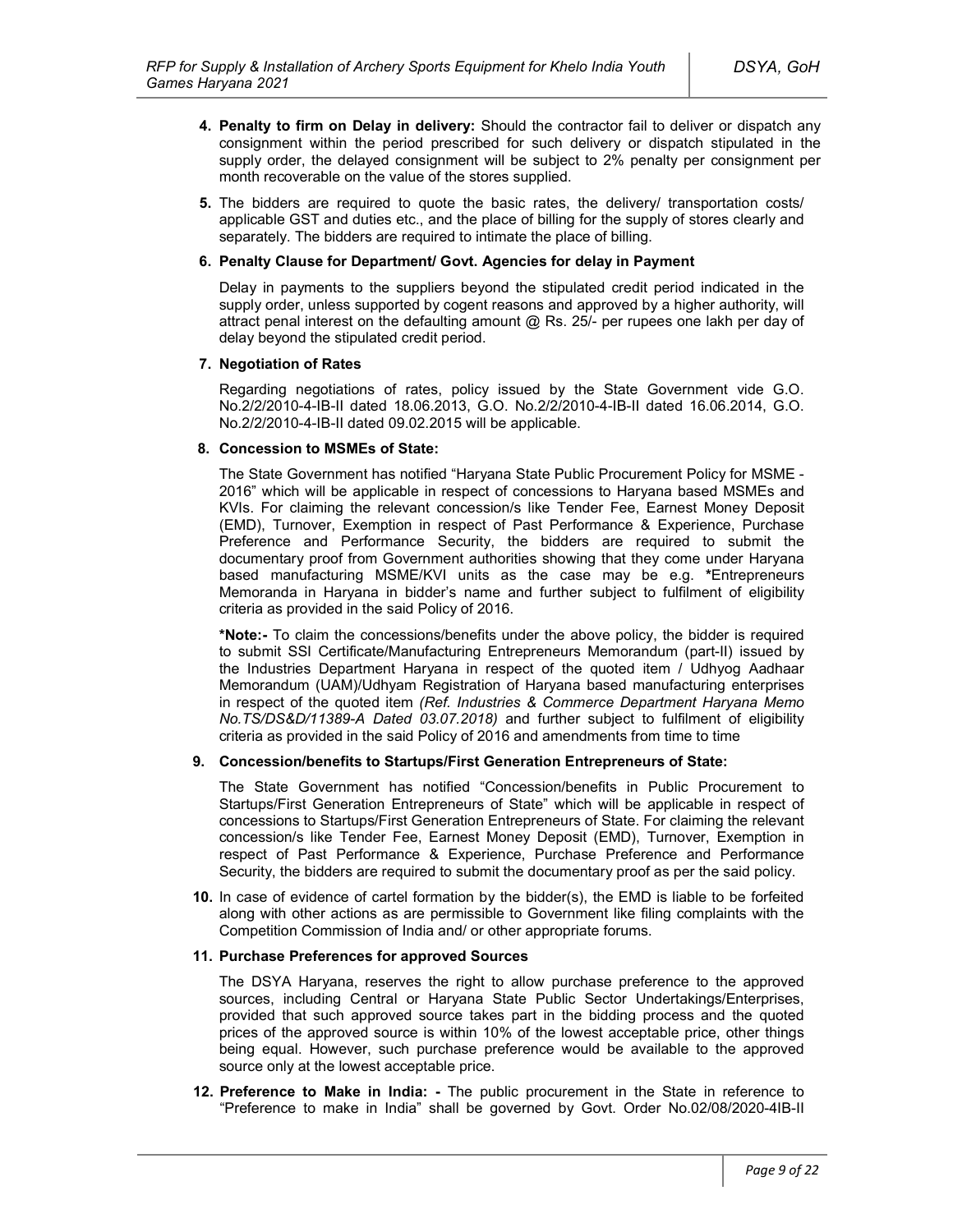- **4. Penalty to firm on Delay in delivery:** Should the contractor fail to deliver or dispatch any consignment within the period prescribed for such delivery or dispatch stipulated in the supply order, the delayed consignment will be subject to 2% penalty per consignment per month recoverable on the value of the stores supplied.
- **5.** The bidders are required to quote the basic rates, the delivery/ transportation costs/ applicable GST and duties etc., and the place of billing for the supply of stores clearly and separately. The bidders are required to intimate the place of billing.

#### **6. Penalty Clause for Department/ Govt. Agencies for delay in Payment**

Delay in payments to the suppliers beyond the stipulated credit period indicated in the supply order, unless supported by cogent reasons and approved by a higher authority, will attract penal interest on the defaulting amount @ Rs. 25/- per rupees one lakh per day of delay beyond the stipulated credit period.

### **7. Negotiation of Rates**

Regarding negotiations of rates, policy issued by the State Government vide G.O. No.2/2/2010-4-IB-II dated 18.06.2013, G.O. No.2/2/2010-4-IB-II dated 16.06.2014, G.O. No.2/2/2010-4-IB-II dated 09.02.2015 will be applicable.

### **8. Concession to MSMEs of State:**

The State Government has notified "Haryana State Public Procurement Policy for MSME - 2016" which will be applicable in respect of concessions to Haryana based MSMEs and KVIs. For claiming the relevant concession/s like Tender Fee, Earnest Money Deposit (EMD), Turnover, Exemption in respect of Past Performance & Experience, Purchase Preference and Performance Security, the bidders are required to submit the documentary proof from Government authorities showing that they come under Haryana based manufacturing MSME/KVI units as the case may be e.g. **\***Entrepreneurs Memoranda in Haryana in bidder's name and further subject to fulfilment of eligibility criteria as provided in the said Policy of 2016.

**\*Note:-** To claim the concessions/benefits under the above policy, the bidder is required to submit SSI Certificate/Manufacturing Entrepreneurs Memorandum (part-II) issued by the Industries Department Haryana in respect of the quoted item / Udhyog Aadhaar Memorandum (UAM)/Udhyam Registration of Haryana based manufacturing enterprises in respect of the quoted item *(Ref. Industries & Commerce Department Haryana Memo No.TS/DS&D/11389-A Dated 03.07.2018)* and further subject to fulfilment of eligibility criteria as provided in the said Policy of 2016 and amendments from time to time

### **9. Concession/benefits to Startups/First Generation Entrepreneurs of State:**

The State Government has notified "Concession/benefits in Public Procurement to Startups/First Generation Entrepreneurs of State" which will be applicable in respect of concessions to Startups/First Generation Entrepreneurs of State. For claiming the relevant concession/s like Tender Fee, Earnest Money Deposit (EMD), Turnover, Exemption in respect of Past Performance & Experience, Purchase Preference and Performance Security, the bidders are required to submit the documentary proof as per the said policy.

**10.** In case of evidence of cartel formation by the bidder(s), the EMD is liable to be forfeited along with other actions as are permissible to Government like filing complaints with the Competition Commission of India and/ or other appropriate forums.

#### **11. Purchase Preferences for approved Sources**

The DSYA Haryana, reserves the right to allow purchase preference to the approved sources, including Central or Haryana State Public Sector Undertakings/Enterprises, provided that such approved source takes part in the bidding process and the quoted prices of the approved source is within 10% of the lowest acceptable price, other things being equal. However, such purchase preference would be available to the approved source only at the lowest acceptable price.

**12. Preference to Make in India: -** The public procurement in the State in reference to "Preference to make in India" shall be governed by Govt. Order No.02/08/2020-4IB-II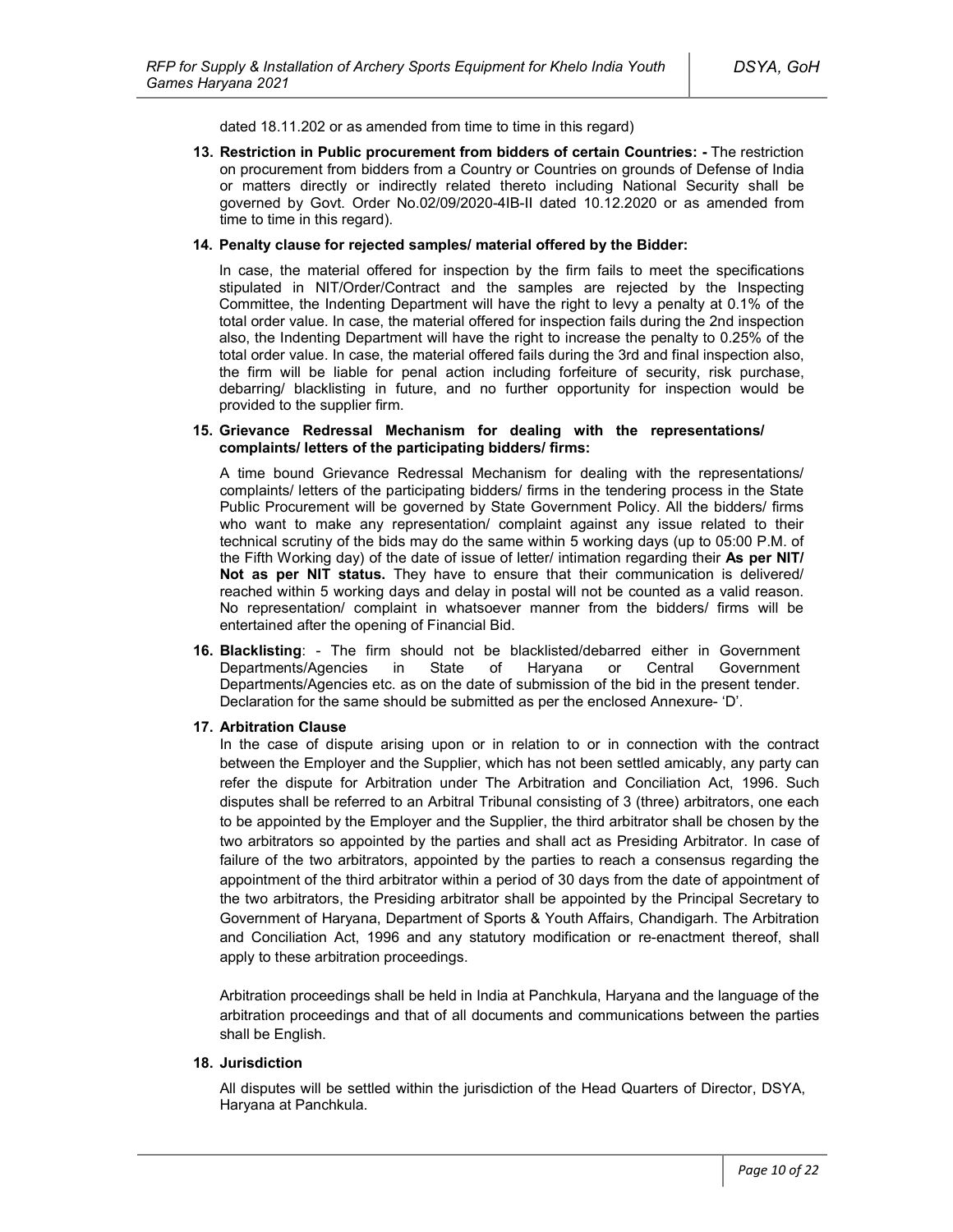dated 18.11.202 or as amended from time to time in this regard)

**13. Restriction in Public procurement from bidders of certain Countries: -** The restriction on procurement from bidders from a Country or Countries on grounds of Defense of India or matters directly or indirectly related thereto including National Security shall be governed by Govt. Order No.02/09/2020-4IB-II dated 10.12.2020 or as amended from time to time in this regard).

#### **14. Penalty clause for rejected samples/ material offered by the Bidder:**

In case, the material offered for inspection by the firm fails to meet the specifications stipulated in NIT/Order/Contract and the samples are rejected by the Inspecting Committee, the Indenting Department will have the right to levy a penalty at 0.1% of the total order value. In case, the material offered for inspection fails during the 2nd inspection also, the Indenting Department will have the right to increase the penalty to 0.25% of the total order value. In case, the material offered fails during the 3rd and final inspection also, the firm will be liable for penal action including forfeiture of security, risk purchase, debarring/ blacklisting in future, and no further opportunity for inspection would be provided to the supplier firm.

#### **15. Grievance Redressal Mechanism for dealing with the representations/ complaints/ letters of the participating bidders/ firms:**

A time bound Grievance Redressal Mechanism for dealing with the representations/ complaints/ letters of the participating bidders/ firms in the tendering process in the State Public Procurement will be governed by State Government Policy. All the bidders/ firms who want to make any representation/ complaint against any issue related to their technical scrutiny of the bids may do the same within 5 working days (up to 05:00 P.M. of the Fifth Working day) of the date of issue of letter/ intimation regarding their **As per NIT/ Not as per NIT status.** They have to ensure that their communication is delivered/ reached within 5 working days and delay in postal will not be counted as a valid reason. No representation/ complaint in whatsoever manner from the bidders/ firms will be entertained after the opening of Financial Bid.

**16. Blacklisting**: - The firm should not be blacklisted/debarred either in Government Departments/Agencies in State of Haryana or Central Government Departments/Agencies etc. as on the date of submission of the bid in the present tender. Declaration for the same should be submitted as per the enclosed Annexure- 'D'.

#### **17. Arbitration Clause**

In the case of dispute arising upon or in relation to or in connection with the contract between the Employer and the Supplier, which has not been settled amicably, any party can refer the dispute for Arbitration under The Arbitration and Conciliation Act, 1996. Such disputes shall be referred to an Arbitral Tribunal consisting of 3 (three) arbitrators, one each to be appointed by the Employer and the Supplier, the third arbitrator shall be chosen by the two arbitrators so appointed by the parties and shall act as Presiding Arbitrator. In case of failure of the two arbitrators, appointed by the parties to reach a consensus regarding the appointment of the third arbitrator within a period of 30 days from the date of appointment of the two arbitrators, the Presiding arbitrator shall be appointed by the Principal Secretary to Government of Haryana, Department of Sports & Youth Affairs, Chandigarh. The Arbitration and Conciliation Act, 1996 and any statutory modification or re-enactment thereof, shall apply to these arbitration proceedings.

Arbitration proceedings shall be held in India at Panchkula, Haryana and the language of the arbitration proceedings and that of all documents and communications between the parties shall be English.

### **18. Jurisdiction**

All disputes will be settled within the jurisdiction of the Head Quarters of Director, DSYA, Haryana at Panchkula.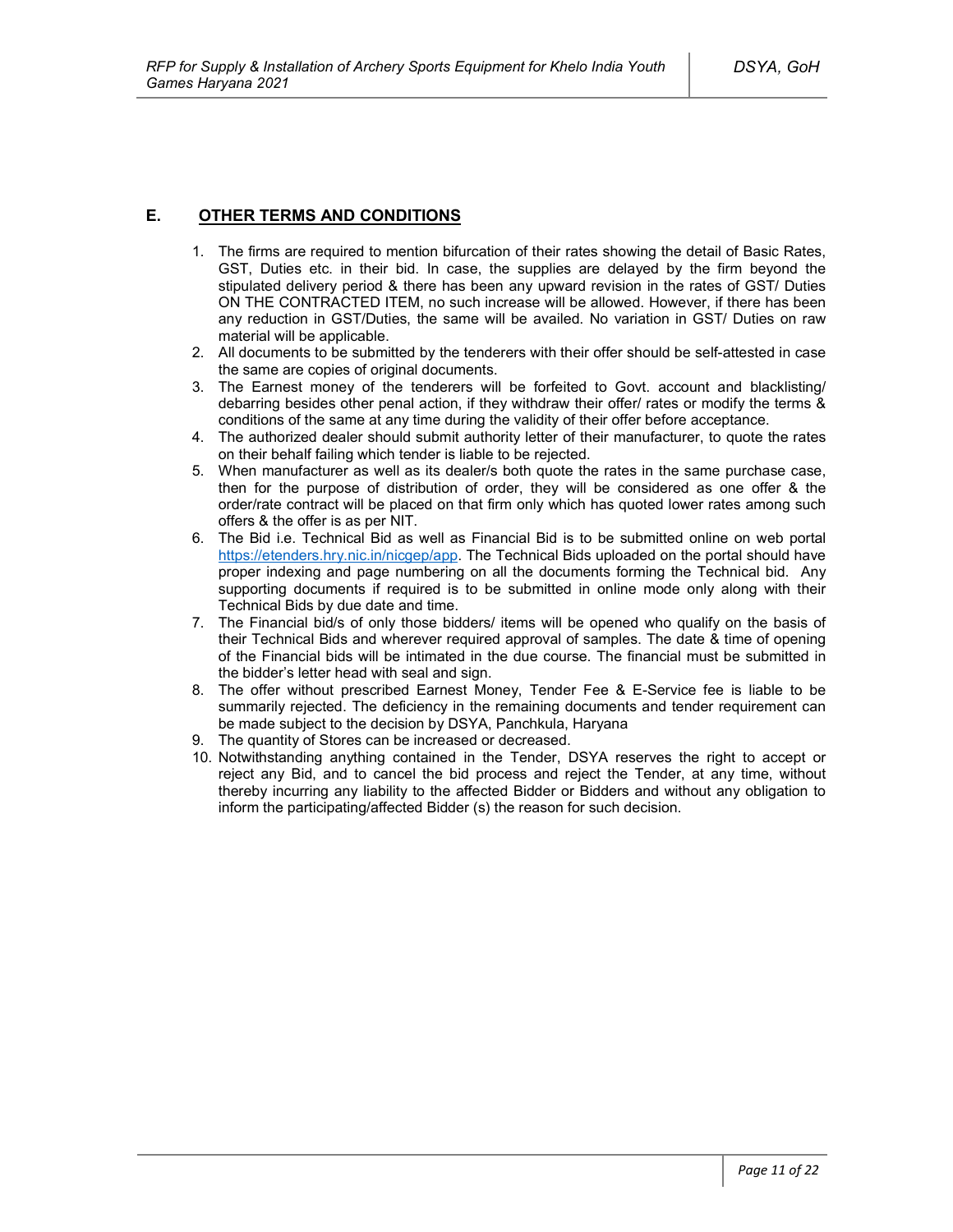## **E. OTHER TERMS AND CONDITIONS**

- 1. The firms are required to mention bifurcation of their rates showing the detail of Basic Rates, GST, Duties etc. in their bid. In case, the supplies are delayed by the firm beyond the stipulated delivery period & there has been any upward revision in the rates of GST/ Duties ON THE CONTRACTED ITEM, no such increase will be allowed. However, if there has been any reduction in GST/Duties, the same will be availed. No variation in GST/ Duties on raw material will be applicable.
- 2. All documents to be submitted by the tenderers with their offer should be self-attested in case the same are copies of original documents.
- 3. The Earnest money of the tenderers will be forfeited to Govt. account and blacklisting/ debarring besides other penal action, if they withdraw their offer/ rates or modify the terms & conditions of the same at any time during the validity of their offer before acceptance.
- 4. The authorized dealer should submit authority letter of their manufacturer, to quote the rates on their behalf failing which tender is liable to be rejected.
- 5. When manufacturer as well as its dealer/s both quote the rates in the same purchase case, then for the purpose of distribution of order, they will be considered as one offer & the order/rate contract will be placed on that firm only which has quoted lower rates among such offers & the offer is as per NIT.
- 6. The Bid i.e. Technical Bid as well as Financial Bid is to be submitted online on web portal https://etenders.hry.nic.in/nicgep/app. The Technical Bids uploaded on the portal should have proper indexing and page numbering on all the documents forming the Technical bid. Any supporting documents if required is to be submitted in online mode only along with their Technical Bids by due date and time.
- 7. The Financial bid/s of only those bidders/ items will be opened who qualify on the basis of their Technical Bids and wherever required approval of samples. The date & time of opening of the Financial bids will be intimated in the due course. The financial must be submitted in the bidder's letter head with seal and sign.
- 8. The offer without prescribed Earnest Money, Tender Fee & E-Service fee is liable to be summarily rejected. The deficiency in the remaining documents and tender requirement can be made subject to the decision by DSYA, Panchkula, Haryana
- 9. The quantity of Stores can be increased or decreased.
- 10. Notwithstanding anything contained in the Tender, DSYA reserves the right to accept or reject any Bid, and to cancel the bid process and reject the Tender, at any time, without thereby incurring any liability to the affected Bidder or Bidders and without any obligation to inform the participating/affected Bidder (s) the reason for such decision.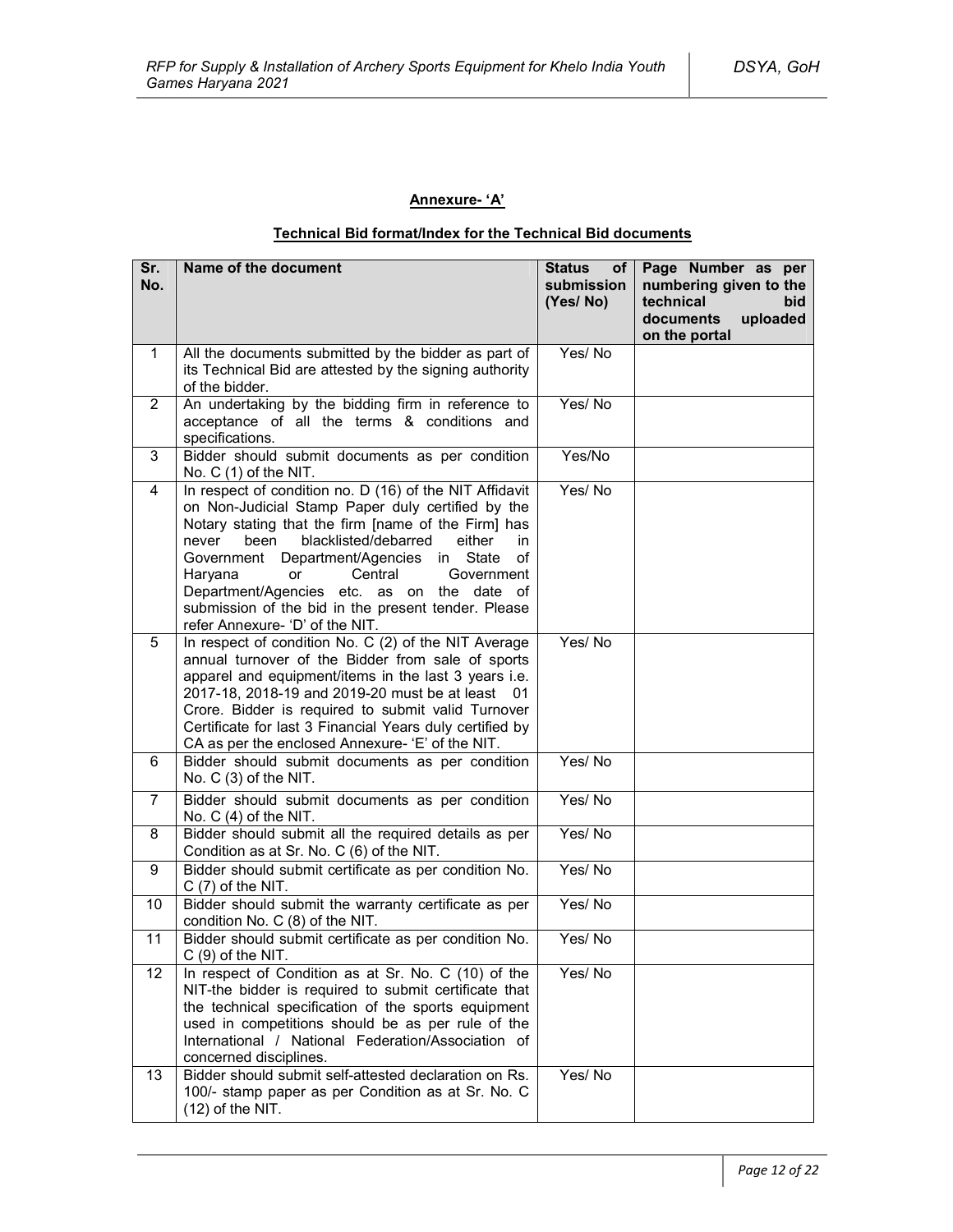## **Annexure- 'A'**

## **Technical Bid format/Index for the Technical Bid documents**

| Sr.<br>No.              | Name of the document                                                                                                                                                                                                                                                                                                                                                                                                                                            | <b>Status</b><br>of <sub>1</sub><br>submission<br>(Yes/No) | Page Number as per<br>numbering given to the<br>technical<br>bid<br>documents<br>uploaded<br>on the portal |
|-------------------------|-----------------------------------------------------------------------------------------------------------------------------------------------------------------------------------------------------------------------------------------------------------------------------------------------------------------------------------------------------------------------------------------------------------------------------------------------------------------|------------------------------------------------------------|------------------------------------------------------------------------------------------------------------|
| $\mathbf{1}$            | All the documents submitted by the bidder as part of<br>its Technical Bid are attested by the signing authority<br>of the bidder.                                                                                                                                                                                                                                                                                                                               | Yes/No                                                     |                                                                                                            |
| $\overline{2}$          | An undertaking by the bidding firm in reference to<br>acceptance of all the terms & conditions and<br>specifications.                                                                                                                                                                                                                                                                                                                                           | Yes/No                                                     |                                                                                                            |
| 3                       | Bidder should submit documents as per condition<br>No. C (1) of the NIT.                                                                                                                                                                                                                                                                                                                                                                                        | Yes/No                                                     |                                                                                                            |
| $\overline{\mathbf{4}}$ | In respect of condition no. D (16) of the NIT Affidavit<br>on Non-Judicial Stamp Paper duly certified by the<br>Notary stating that the firm [name of the Firm] has<br>blacklisted/debarred<br>either<br>never<br>been<br>in<br>Government Department/Agencies in State<br>of<br>Haryana<br>Central<br>Government<br>or<br>Department/Agencies etc. as on the date of<br>submission of the bid in the present tender. Please<br>refer Annexure- 'D' of the NIT. | Yes/No                                                     |                                                                                                            |
| 5                       | In respect of condition No. C (2) of the NIT Average<br>annual turnover of the Bidder from sale of sports<br>apparel and equipment/items in the last 3 years i.e.<br>2017-18, 2018-19 and 2019-20 must be at least 01<br>Crore. Bidder is required to submit valid Turnover<br>Certificate for last 3 Financial Years duly certified by<br>CA as per the enclosed Annexure- 'E' of the NIT.                                                                     | Yes/No                                                     |                                                                                                            |
| 6                       | Bidder should submit documents as per condition<br>No. C (3) of the NIT.                                                                                                                                                                                                                                                                                                                                                                                        | Yes/No                                                     |                                                                                                            |
| $\overline{7}$          | Bidder should submit documents as per condition<br>No. $C(4)$ of the NIT.                                                                                                                                                                                                                                                                                                                                                                                       | Yes/No                                                     |                                                                                                            |
| 8                       | Bidder should submit all the required details as per<br>Condition as at Sr. No. C (6) of the NIT.                                                                                                                                                                                                                                                                                                                                                               | Yes/No                                                     |                                                                                                            |
| 9                       | Bidder should submit certificate as per condition No.<br>$C(7)$ of the NIT.                                                                                                                                                                                                                                                                                                                                                                                     | Yes/No                                                     |                                                                                                            |
| 10                      | Bidder should submit the warranty certificate as per<br>condition No. C (8) of the NIT.                                                                                                                                                                                                                                                                                                                                                                         | Yes/No                                                     |                                                                                                            |
| 11                      | Bidder should submit certificate as per condition No.<br>$C(9)$ of the NIT.                                                                                                                                                                                                                                                                                                                                                                                     | Yes/No                                                     |                                                                                                            |
| 12                      | In respect of Condition as at Sr. No. C (10) of the<br>NIT-the bidder is required to submit certificate that<br>the technical specification of the sports equipment<br>used in competitions should be as per rule of the<br>International / National Federation/Association of<br>concerned disciplines.                                                                                                                                                        | Yes/No                                                     |                                                                                                            |
| 13                      | Bidder should submit self-attested declaration on Rs.<br>100/- stamp paper as per Condition as at Sr. No. C<br>$(12)$ of the NIT.                                                                                                                                                                                                                                                                                                                               | Yes/No                                                     |                                                                                                            |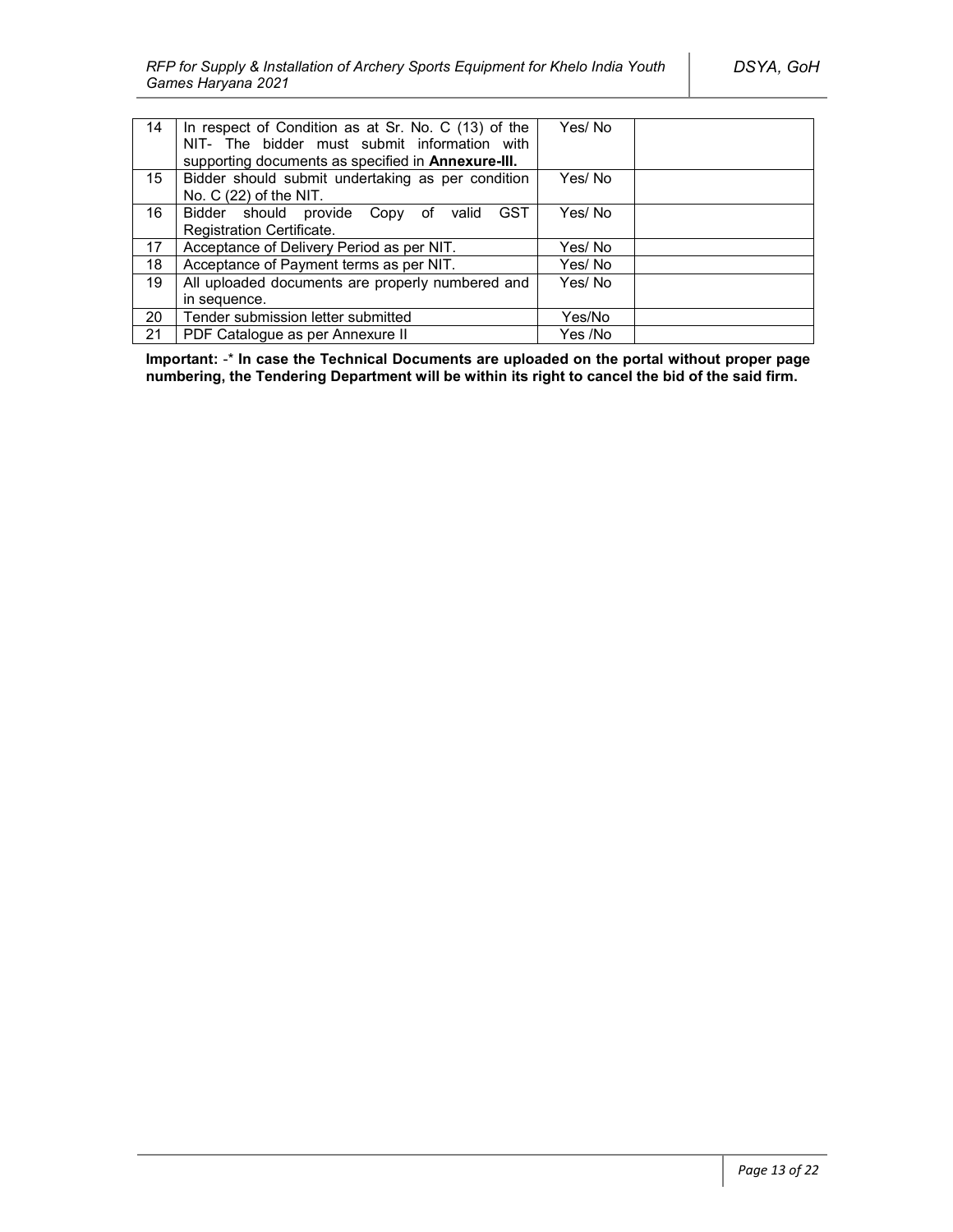| 14               | In respect of Condition as at Sr. No. C (13) of the       | Yes/No  |  |
|------------------|-----------------------------------------------------------|---------|--|
|                  | NIT- The bidder must submit information with              |         |  |
|                  | supporting documents as specified in <b>Annexure-III.</b> |         |  |
| 15 <sup>15</sup> | Bidder should submit undertaking as per condition         | Yes/No  |  |
|                  | No. $C(22)$ of the NIT.                                   |         |  |
| 16               | Bidder should provide Copy of valid<br>GST                | Yes/No  |  |
|                  | Registration Certificate.                                 |         |  |
| 17               | Acceptance of Delivery Period as per NIT.                 | Yes/ No |  |
| 18               | Acceptance of Payment terms as per NIT.                   | Yes/No  |  |
| 19               | All uploaded documents are properly numbered and          | Yes/No  |  |
|                  | in sequence.                                              |         |  |
| 20               | Tender submission letter submitted                        | Yes/No  |  |
| 21               | PDF Catalogue as per Annexure II                          | Yes /No |  |

**Important:** -\* **In case the Technical Documents are uploaded on the portal without proper page numbering, the Tendering Department will be within its right to cancel the bid of the said firm.**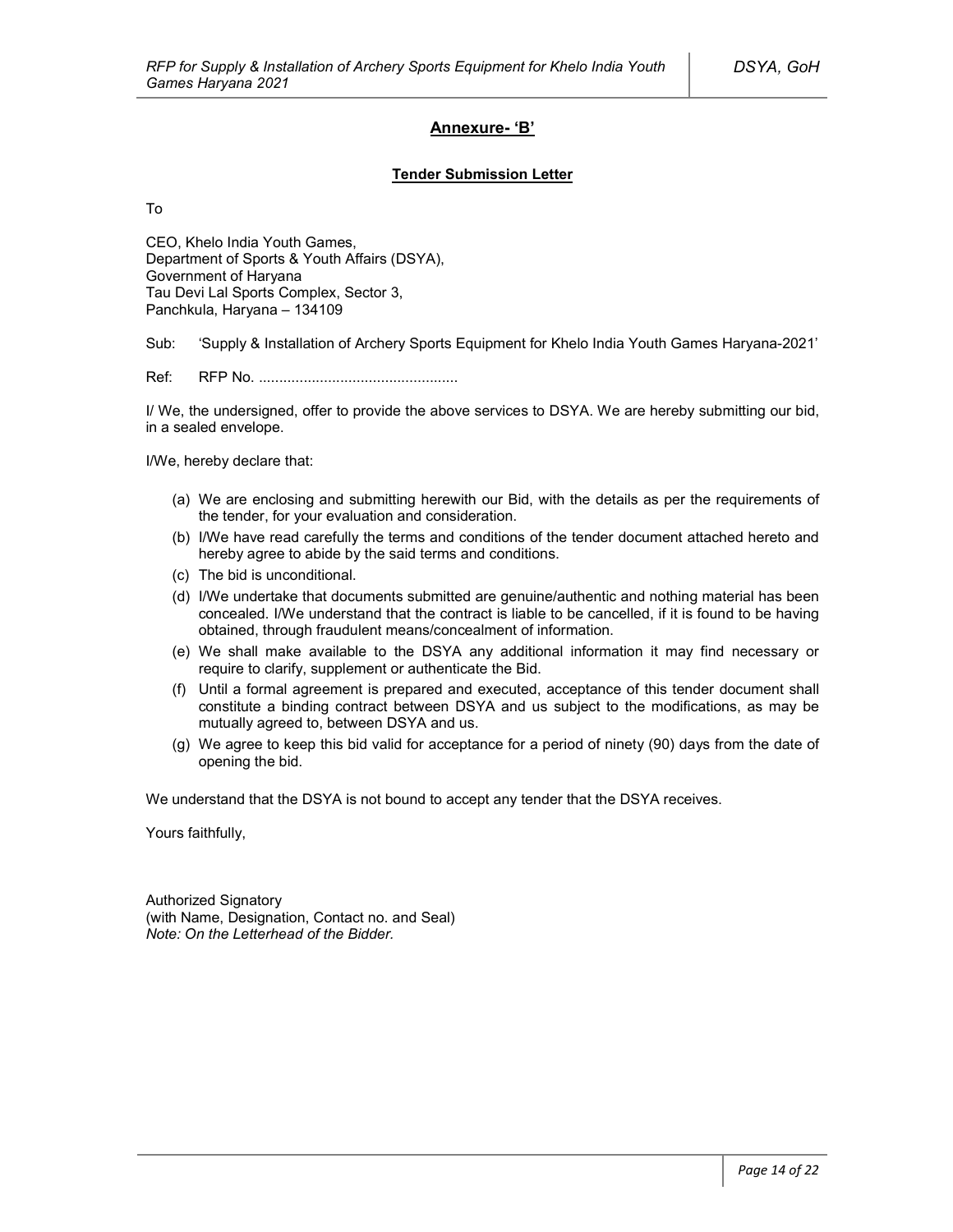## **Annexure- 'B'**

#### **Tender Submission Letter**

To

CEO, Khelo India Youth Games, Department of Sports & Youth Affairs (DSYA), Government of Haryana Tau Devi Lal Sports Complex, Sector 3, Panchkula, Haryana – 134109

Sub: 'Supply & Installation of Archery Sports Equipment for Khelo India Youth Games Haryana-2021'

Ref: RFP No. .................................................

I/ We, the undersigned, offer to provide the above services to DSYA. We are hereby submitting our bid, in a sealed envelope.

I/We, hereby declare that:

- (a) We are enclosing and submitting herewith our Bid, with the details as per the requirements of the tender, for your evaluation and consideration.
- (b) I/We have read carefully the terms and conditions of the tender document attached hereto and hereby agree to abide by the said terms and conditions.
- (c) The bid is unconditional.
- (d) I/We undertake that documents submitted are genuine/authentic and nothing material has been concealed. I/We understand that the contract is liable to be cancelled, if it is found to be having obtained, through fraudulent means/concealment of information.
- (e) We shall make available to the DSYA any additional information it may find necessary or require to clarify, supplement or authenticate the Bid.
- (f) Until a formal agreement is prepared and executed, acceptance of this tender document shall constitute a binding contract between DSYA and us subject to the modifications, as may be mutually agreed to, between DSYA and us.
- (g) We agree to keep this bid valid for acceptance for a period of ninety (90) days from the date of opening the bid.

We understand that the DSYA is not bound to accept any tender that the DSYA receives.

Yours faithfully,

Authorized Signatory (with Name, Designation, Contact no. and Seal) *Note: On the Letterhead of the Bidder.*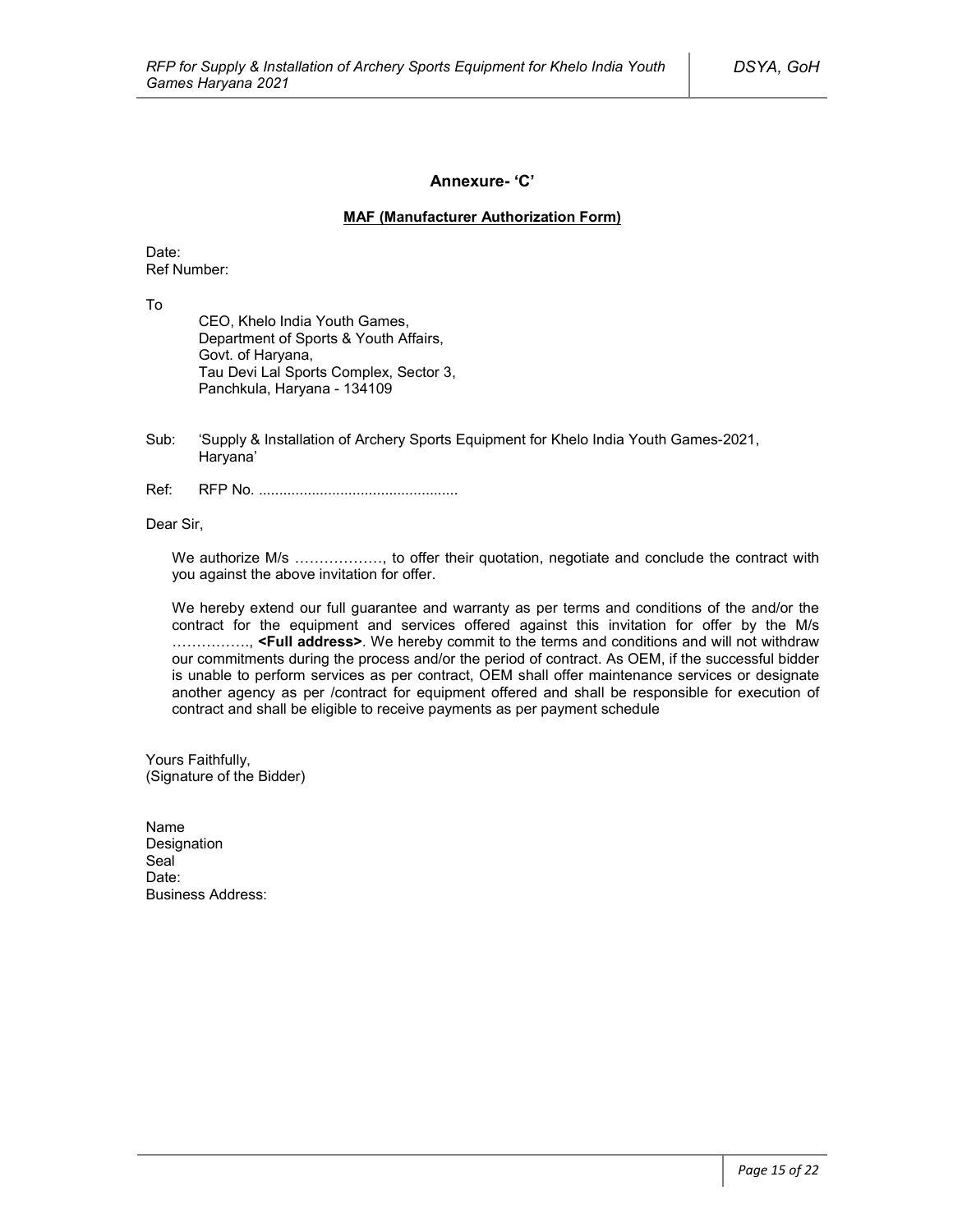### **Annexure- 'C'**

#### **MAF (Manufacturer Authorization Form)**

Date: Ref Number:

To

CEO, Khelo India Youth Games, Department of Sports & Youth Affairs, Govt. of Haryana, Tau Devi Lal Sports Complex, Sector 3, Panchkula, Haryana - 134109

- Sub: 'Supply & Installation of Archery Sports Equipment for Khelo India Youth Games-2021, Haryana'
- Ref: RFP No. .................................................

Dear Sir,

We authorize M/s ………………, to offer their quotation, negotiate and conclude the contract with you against the above invitation for offer.

We hereby extend our full guarantee and warranty as per terms and conditions of the and/or the contract for the equipment and services offered against this invitation for offer by the M/s ……………., **<Full address>**. We hereby commit to the terms and conditions and will not withdraw our commitments during the process and/or the period of contract. As OEM, if the successful bidder is unable to perform services as per contract, OEM shall offer maintenance services or designate another agency as per /contract for equipment offered and shall be responsible for execution of contract and shall be eligible to receive payments as per payment schedule

Yours Faithfully, (Signature of the Bidder)

Name Designation Seal<sup>1</sup> Date<sup>.</sup> Business Address: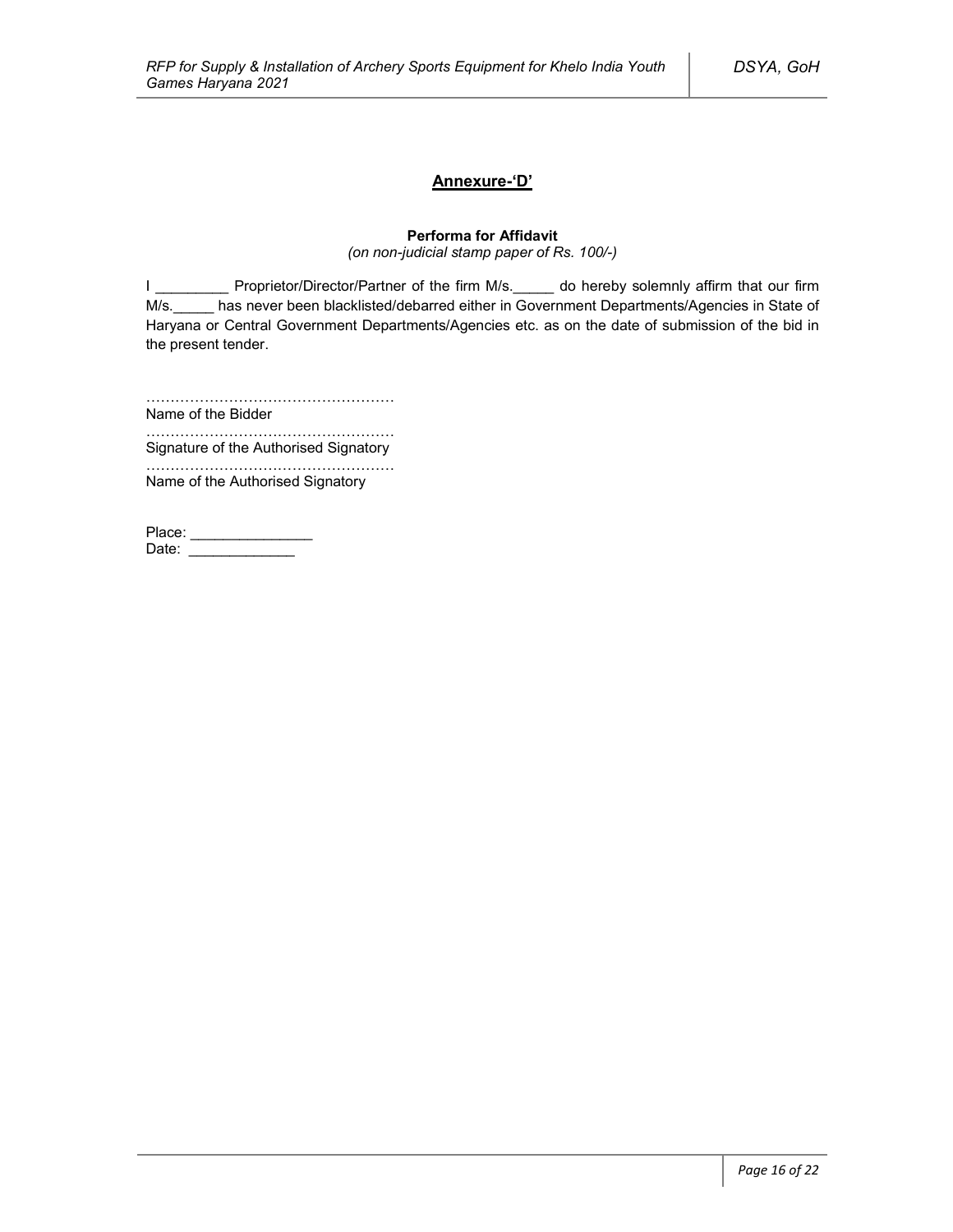## **Annexure-'D'**

## **Performa for Affidavit**

*(on non-judicial stamp paper of Rs. 100/-)*

I \_\_\_\_\_\_\_\_\_\_\_ Proprietor/Director/Partner of the firm M/s.\_\_\_\_\_ do hereby solemnly affirm that our firm M/s. has never been blacklisted/debarred either in Government Departments/Agencies in State of Haryana or Central Government Departments/Agencies etc. as on the date of submission of the bid in the present tender.

……………………………………………

Name of the Bidder ……………………………………………

Signature of the Authorised Signatory

…………………………………………… Name of the Authorised Signatory

| Place: |  |
|--------|--|
| Date:  |  |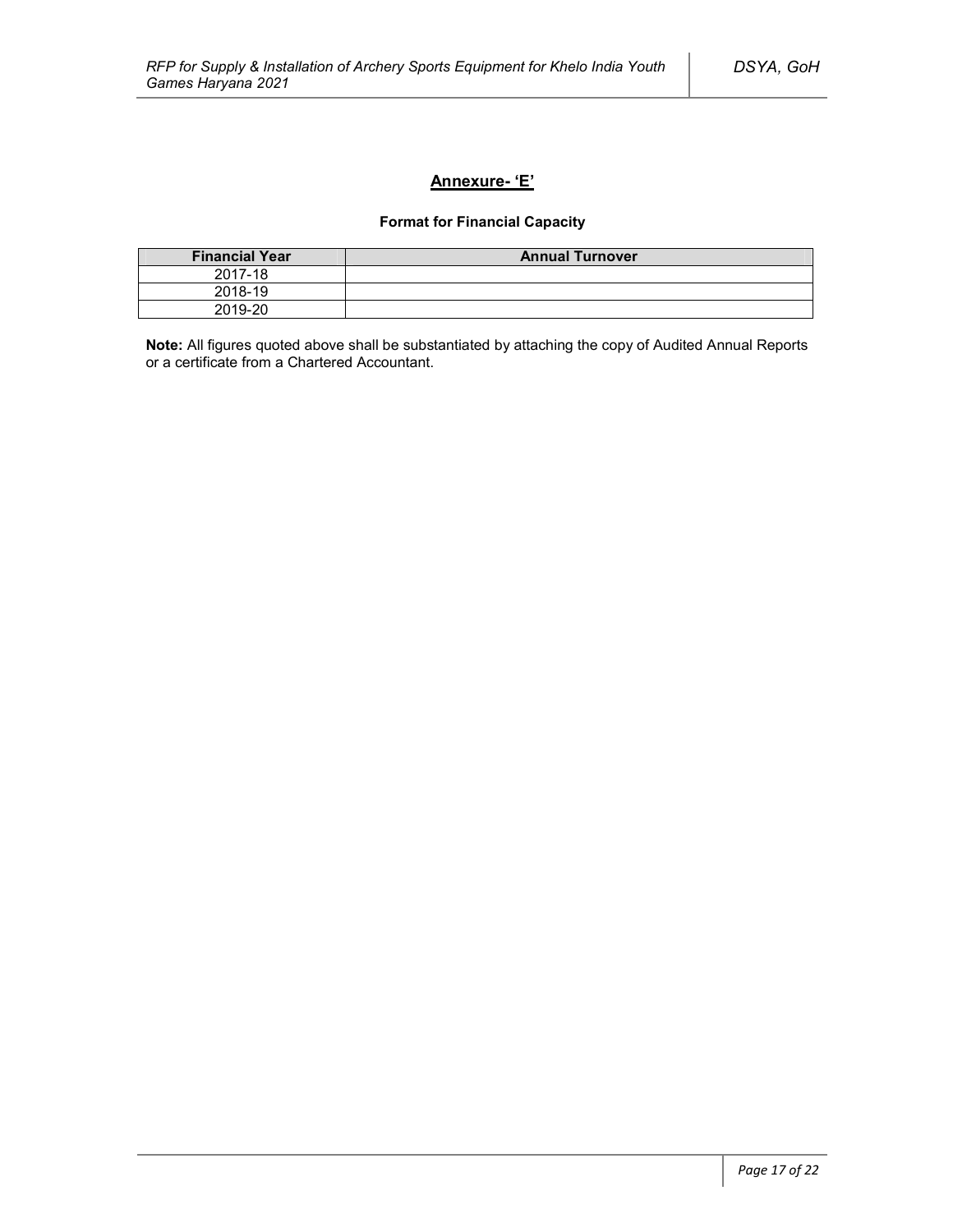## **Annexure- 'E'**

## **Format for Financial Capacity**

| <b>Financial Year</b> | <b>Annual Turnover</b> |
|-----------------------|------------------------|
| 2017-18               |                        |
| 2018-19               |                        |
| 2019-20               |                        |

**Note:** All figures quoted above shall be substantiated by attaching the copy of Audited Annual Reports or a certificate from a Chartered Accountant.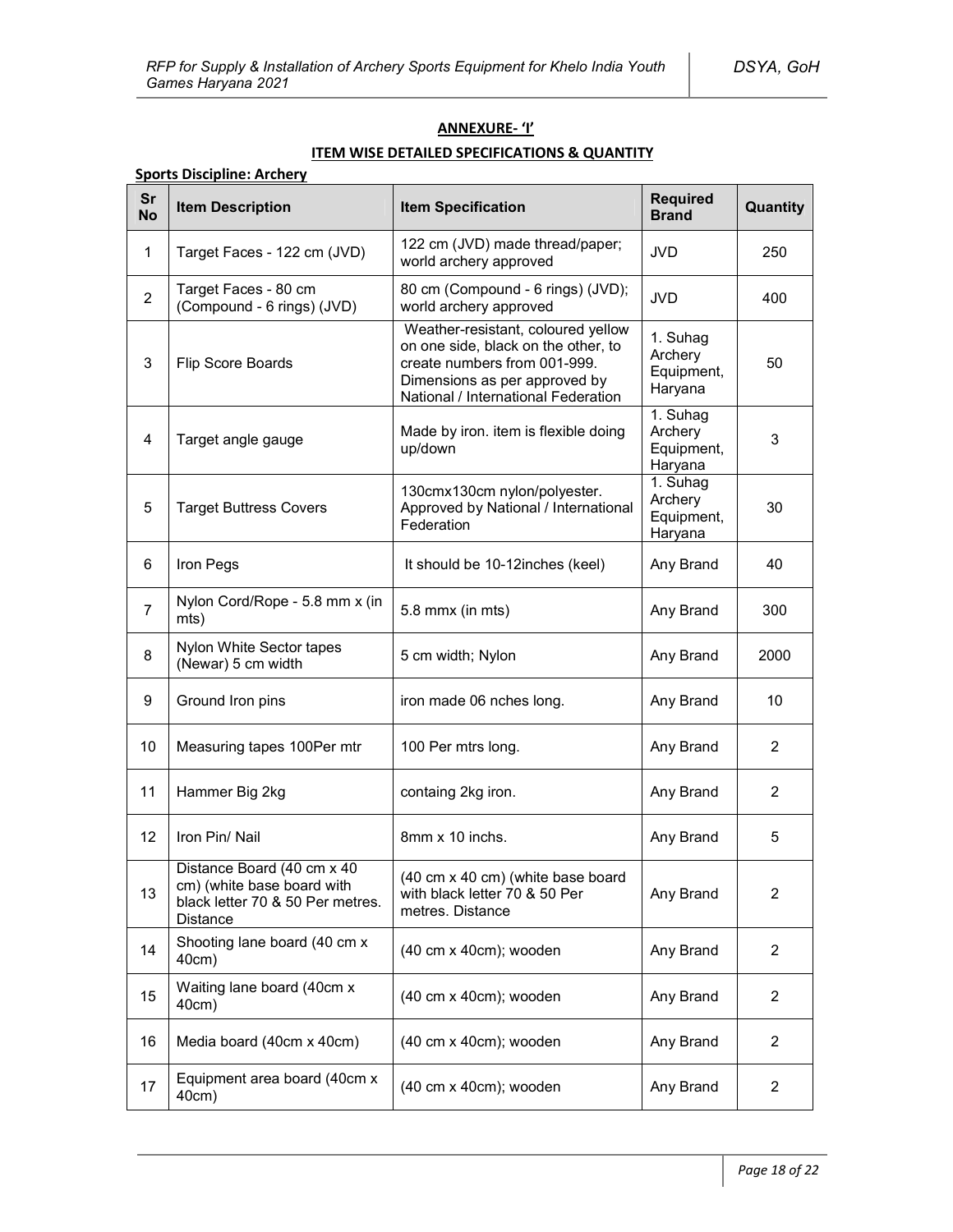## **ANNEXURE- 'I'**

## **ITEM WISE DETAILED SPECIFICATIONS & QUANTITY**

## **Sports Discipline: Archery**

| Sr<br><b>No</b> | <b>Item Description</b>                                                                                  | <b>Item Specification</b>                                                                                                                                                         | <b>Required</b><br><b>Brand</b>              | Quantity       |
|-----------------|----------------------------------------------------------------------------------------------------------|-----------------------------------------------------------------------------------------------------------------------------------------------------------------------------------|----------------------------------------------|----------------|
| 1               | Target Faces - 122 cm (JVD)                                                                              | 122 cm (JVD) made thread/paper;<br>world archery approved                                                                                                                         | <b>JVD</b>                                   | 250            |
| $\overline{2}$  | Target Faces - 80 cm<br>(Compound - 6 rings) (JVD)                                                       | 80 cm (Compound - 6 rings) (JVD);<br>world archery approved                                                                                                                       | <b>JVD</b>                                   | 400            |
| 3               | Flip Score Boards                                                                                        | Weather-resistant, coloured yellow<br>on one side, black on the other, to<br>create numbers from 001-999.<br>Dimensions as per approved by<br>National / International Federation | 1. Suhag<br>Archery<br>Equipment,<br>Haryana | 50             |
| 4               | Target angle gauge                                                                                       | Made by iron. item is flexible doing<br>up/down                                                                                                                                   | 1. Suhag<br>Archery<br>Equipment,<br>Haryana | 3              |
| 5               | <b>Target Buttress Covers</b>                                                                            | 130cmx130cm nylon/polyester.<br>Approved by National / International<br>Federation                                                                                                | 1. Suhag<br>Archery<br>Equipment,<br>Haryana | 30             |
| 6               | Iron Pegs                                                                                                | It should be 10-12 inches (keel)                                                                                                                                                  | Any Brand                                    | 40             |
| $\overline{7}$  | Nylon Cord/Rope - 5.8 mm x (in<br>mts)                                                                   | 5.8 mmx (in mts)                                                                                                                                                                  | Any Brand                                    | 300            |
| 8               | Nylon White Sector tapes<br>(Newar) 5 cm width                                                           | 5 cm width; Nylon                                                                                                                                                                 | Any Brand                                    | 2000           |
| 9               | Ground Iron pins                                                                                         | iron made 06 nches long.                                                                                                                                                          | Any Brand                                    | 10             |
| 10              | Measuring tapes 100Per mtr                                                                               | 100 Per mtrs long.                                                                                                                                                                | Any Brand                                    | $\overline{2}$ |
| 11              | Hammer Big 2kg                                                                                           | containg 2kg iron.                                                                                                                                                                | Any Brand                                    | $\overline{2}$ |
| 12              | Iron Pin/ Nail                                                                                           | 8mm x 10 inchs.                                                                                                                                                                   | Any Brand                                    | 5              |
| 13              | Distance Board (40 cm x 40<br>cm) (white base board with<br>black letter 70 & 50 Per metres.<br>Distance | (40 cm x 40 cm) (white base board<br>with black letter 70 & 50 Per<br>metres. Distance                                                                                            | Any Brand                                    | $\overline{2}$ |
| 14              | Shooting lane board (40 cm x<br>40cm)                                                                    | (40 cm x 40cm); wooden                                                                                                                                                            | Any Brand                                    | $\overline{2}$ |
| 15              | Waiting lane board (40cm x<br>40cm)                                                                      | (40 cm x 40cm); wooden                                                                                                                                                            | Any Brand                                    | 2              |
| 16              | Media board (40cm x 40cm)                                                                                | (40 cm x 40cm); wooden                                                                                                                                                            | Any Brand                                    | 2              |
| 17              | Equipment area board (40cm x<br>40cm)                                                                    | (40 cm x 40cm); wooden                                                                                                                                                            | Any Brand                                    | 2              |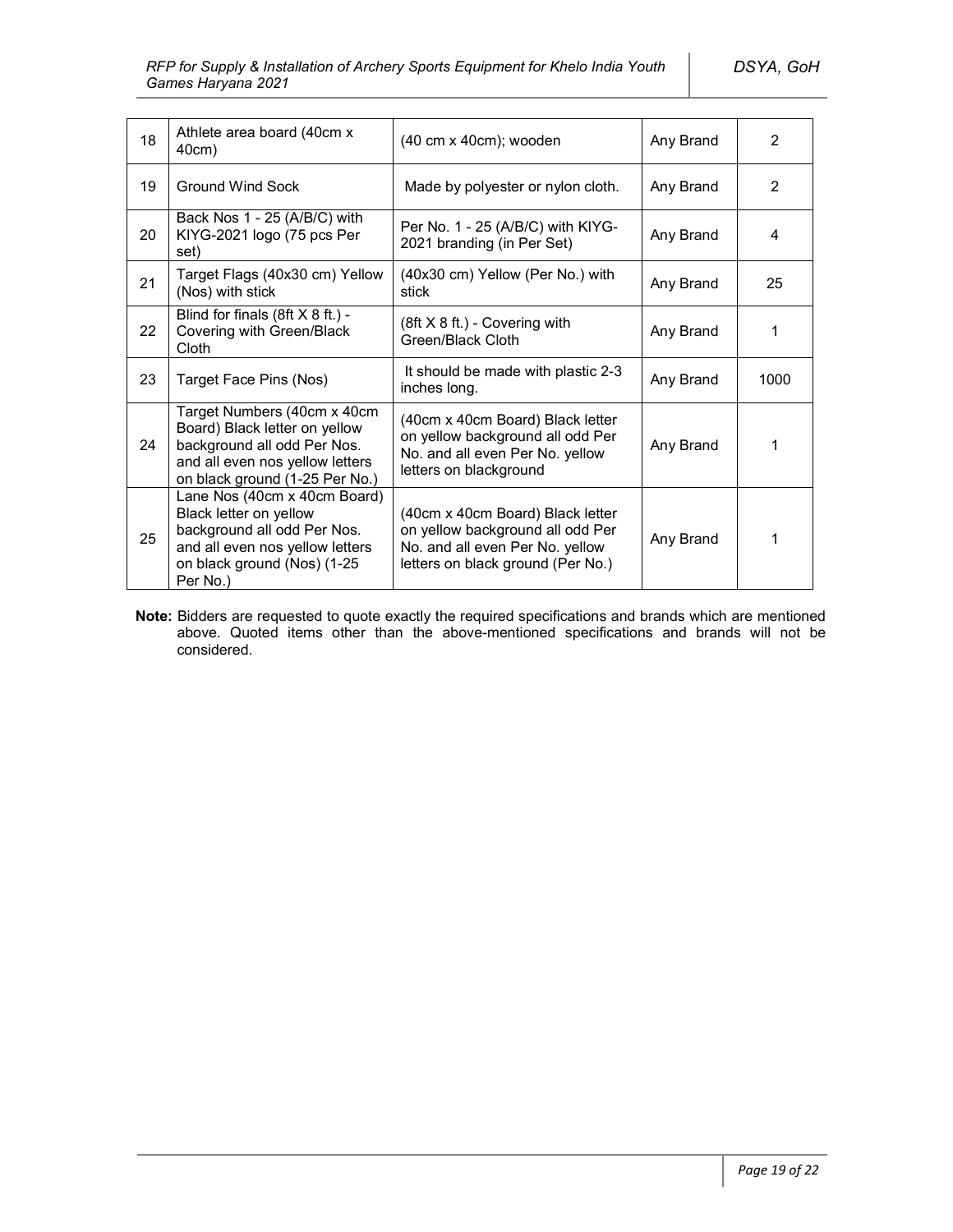| 18 | Athlete area board (40cm x)<br>40cm)                                                                                                                                | (40 cm x 40cm); wooden                                                                                                                       | Any Brand | $\overline{2}$ |
|----|---------------------------------------------------------------------------------------------------------------------------------------------------------------------|----------------------------------------------------------------------------------------------------------------------------------------------|-----------|----------------|
| 19 | Ground Wind Sock                                                                                                                                                    | Made by polyester or nylon cloth.                                                                                                            | Any Brand | $\overline{2}$ |
| 20 | Back Nos 1 - 25 (A/B/C) with<br>KIYG-2021 logo (75 pcs Per<br>set)                                                                                                  | Per No. 1 - 25 (A/B/C) with KIYG-<br>2021 branding (in Per Set)                                                                              | Any Brand | 4              |
| 21 | Target Flags (40x30 cm) Yellow<br>(Nos) with stick                                                                                                                  | (40x30 cm) Yellow (Per No.) with<br>stick                                                                                                    | Any Brand | 25             |
| 22 | Blind for finals $(8ft \times 8 ft.)$ -<br>Covering with Green/Black<br>Cloth                                                                                       | (8ft X 8 ft.) - Covering with<br>Green/Black Cloth                                                                                           | Any Brand | 1              |
| 23 | Target Face Pins (Nos)                                                                                                                                              | It should be made with plastic 2-3<br>inches long.                                                                                           | Any Brand | 1000           |
| 24 | Target Numbers (40cm x 40cm<br>Board) Black letter on yellow<br>background all odd Per Nos.<br>and all even nos yellow letters<br>on black ground (1-25 Per No.)    | (40cm x 40cm Board) Black letter<br>on yellow background all odd Per<br>No. and all even Per No. yellow<br>letters on blackground            | Any Brand | 1              |
| 25 | Lane Nos (40cm x 40cm Board)<br>Black letter on yellow<br>background all odd Per Nos.<br>and all even nos yellow letters<br>on black ground (Nos) (1-25<br>Per No.) | (40cm x 40cm Board) Black letter<br>on yellow background all odd Per<br>No. and all even Per No. yellow<br>letters on black ground (Per No.) | Any Brand | 1              |

**Note:** Bidders are requested to quote exactly the required specifications and brands which are mentioned above. Quoted items other than the above-mentioned specifications and brands will not be considered.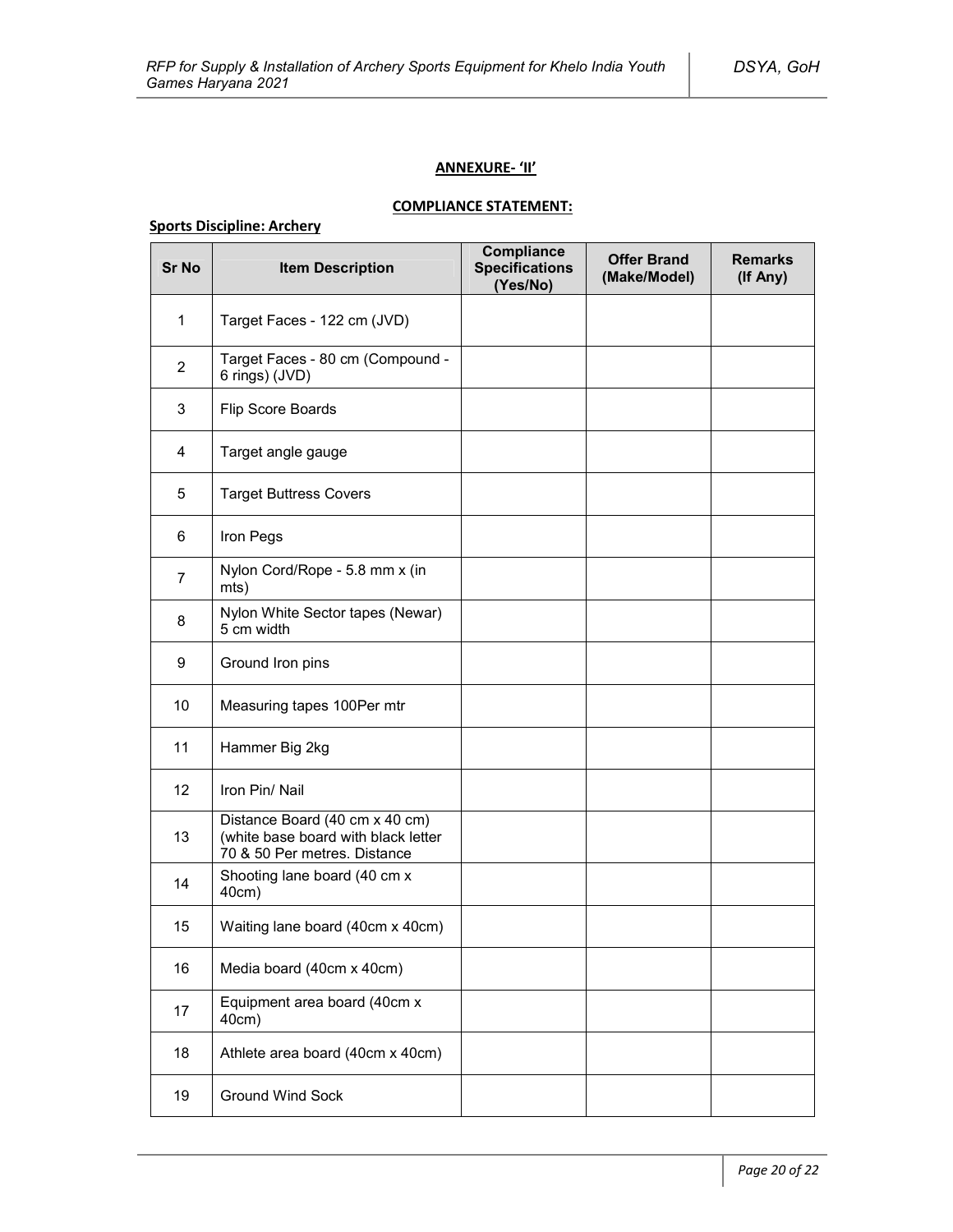### **ANNEXURE- 'II'**

## **COMPLIANCE STATEMENT:**

## **Sports Discipline: Archery**

| <b>Sr No</b>   | <b>Item Description</b>                                                                               | <b>Compliance</b><br><b>Specifications</b><br>(Yes/No) | <b>Offer Brand</b><br>(Make/Model) | <b>Remarks</b><br>(If Any) |
|----------------|-------------------------------------------------------------------------------------------------------|--------------------------------------------------------|------------------------------------|----------------------------|
| $\mathbf{1}$   | Target Faces - 122 cm (JVD)                                                                           |                                                        |                                    |                            |
| $\overline{2}$ | Target Faces - 80 cm (Compound -<br>6 rings) (JVD)                                                    |                                                        |                                    |                            |
| 3              | Flip Score Boards                                                                                     |                                                        |                                    |                            |
| 4              | Target angle gauge                                                                                    |                                                        |                                    |                            |
| 5              | <b>Target Buttress Covers</b>                                                                         |                                                        |                                    |                            |
| 6              | Iron Pegs                                                                                             |                                                        |                                    |                            |
| $\overline{7}$ | Nylon Cord/Rope - 5.8 mm x (in<br>mts)                                                                |                                                        |                                    |                            |
| 8              | Nylon White Sector tapes (Newar)<br>5 cm width                                                        |                                                        |                                    |                            |
| 9              | Ground Iron pins                                                                                      |                                                        |                                    |                            |
| 10             | Measuring tapes 100Per mtr                                                                            |                                                        |                                    |                            |
| 11             | Hammer Big 2kg                                                                                        |                                                        |                                    |                            |
| 12             | Iron Pin/ Nail                                                                                        |                                                        |                                    |                            |
| 13             | Distance Board (40 cm x 40 cm)<br>(white base board with black letter<br>70 & 50 Per metres. Distance |                                                        |                                    |                            |
| 14             | Shooting lane board (40 cm x<br>40cm)                                                                 |                                                        |                                    |                            |
| 15             | Waiting lane board (40cm x 40cm)                                                                      |                                                        |                                    |                            |
| 16             | Media board (40cm x 40cm)                                                                             |                                                        |                                    |                            |
| 17             | Equipment area board (40cm x<br>40cm)                                                                 |                                                        |                                    |                            |
| 18             | Athlete area board (40cm x 40cm)                                                                      |                                                        |                                    |                            |
| 19             | <b>Ground Wind Sock</b>                                                                               |                                                        |                                    |                            |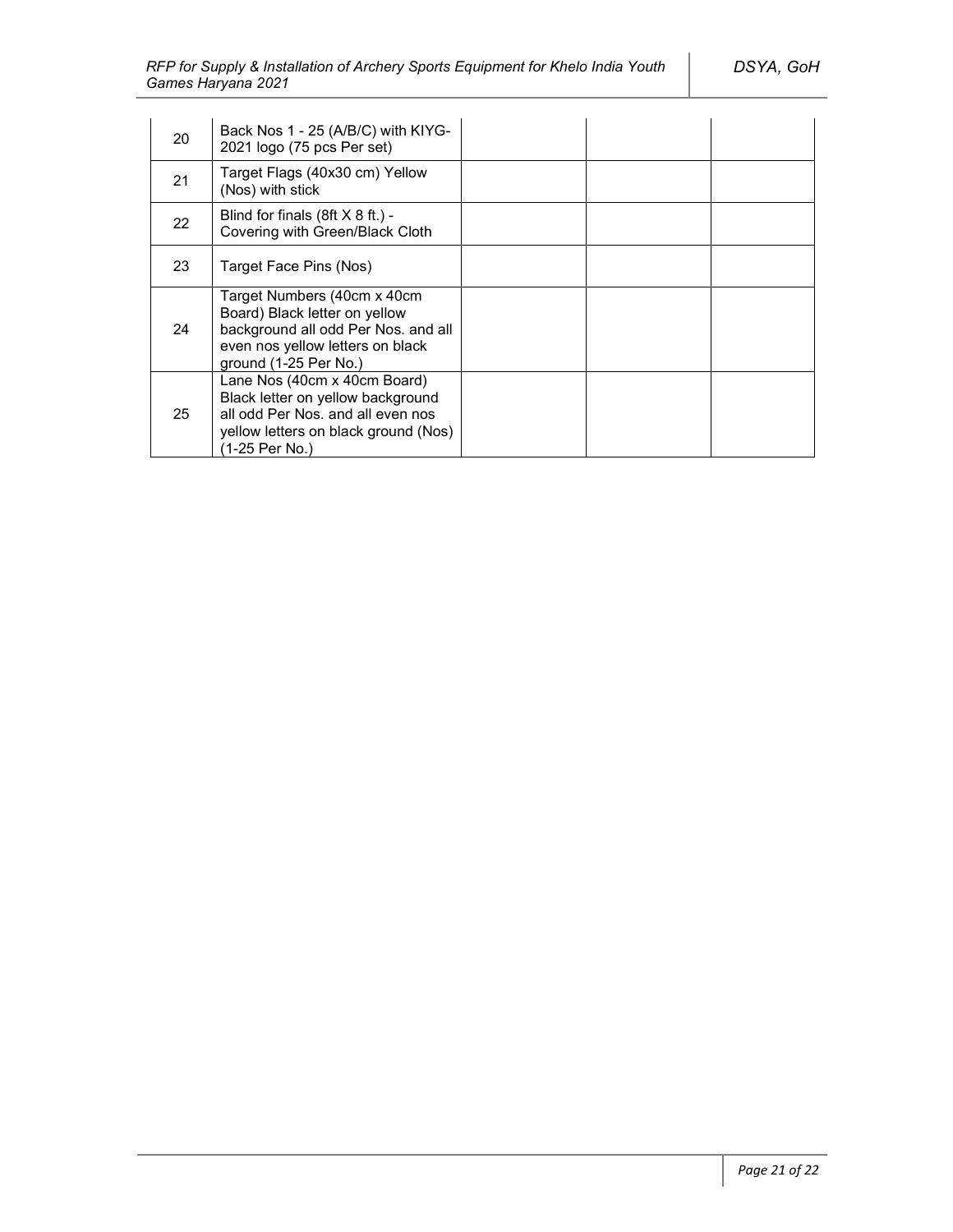| 20 | Back Nos 1 - 25 (A/B/C) with KIYG-<br>2021 logo (75 pcs Per set)                                                                                                 |  |  |
|----|------------------------------------------------------------------------------------------------------------------------------------------------------------------|--|--|
| 21 | Target Flags (40x30 cm) Yellow<br>(Nos) with stick                                                                                                               |  |  |
| 22 | Blind for finals $(8ft X 8 ft.)$ -<br>Covering with Green/Black Cloth                                                                                            |  |  |
| 23 | Target Face Pins (Nos)                                                                                                                                           |  |  |
| 24 | Target Numbers (40cm x 40cm<br>Board) Black letter on yellow<br>background all odd Per Nos. and all<br>even nos yellow letters on black<br>ground (1-25 Per No.) |  |  |
| 25 | Lane Nos (40cm x 40cm Board)<br>Black letter on yellow background<br>all odd Per Nos, and all even nos<br>yellow letters on black ground (Nos)<br>(1-25 Per No.) |  |  |